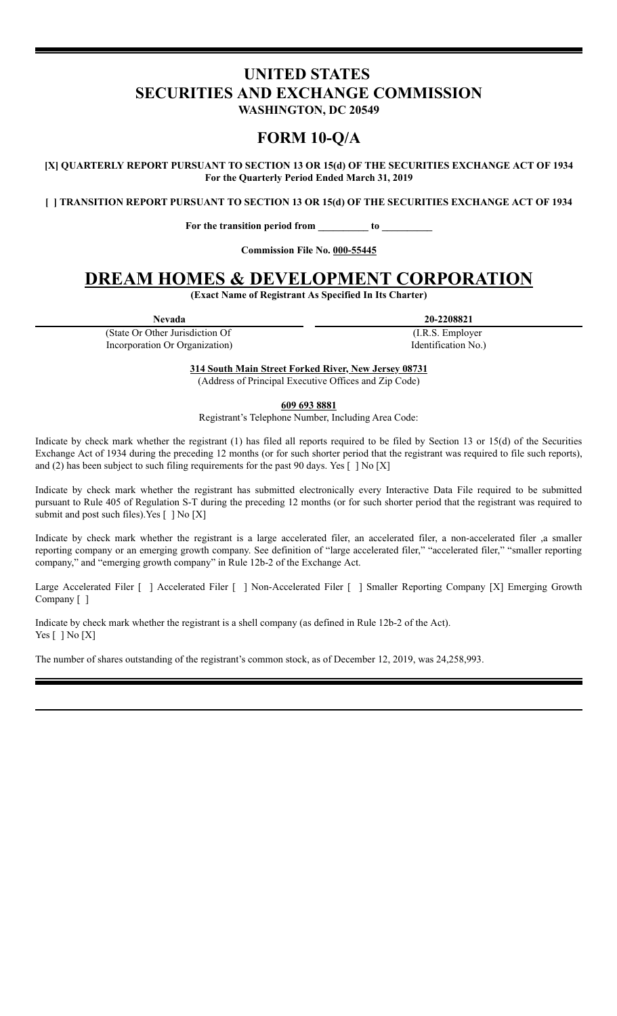# **UNITED STATES SECURITIES AND EXCHANGE COMMISSION**

# **WASHINGTON, DC 20549**

## **FORM 10-Q/A**

**[X] QUARTERLY REPORT PURSUANT TO SECTION 13 OR 15(d) OF THE SECURITIES EXCHANGE ACT OF 1934 For the Quarterly Period Ended March 31, 2019**

**[ ] TRANSITION REPORT PURSUANT TO SECTION 13 OR 15(d) OF THE SECURITIES EXCHANGE ACT OF 1934**

**For the transition period from \_\_\_\_\_\_\_\_\_\_ to \_\_\_\_\_\_\_\_\_\_**

**Commission File No. 000-55445**

## **DREAM HOMES & DEVELOPMENT CORPORATION**

**(Exact Name of Registrant As Specified In Its Charter)**

(State Or Other Jurisdiction Of Incorporation Or Organization)

**Nevada 20-2208821** (I.R.S. Employer

Identification No.)

**314 South Main Street Forked River, New Jersey 08731**

(Address of Principal Executive Offices and Zip Code)

**609 693 8881**

Registrant's Telephone Number, Including Area Code:

Indicate by check mark whether the registrant (1) has filed all reports required to be filed by Section 13 or 15(d) of the Securities Exchange Act of 1934 during the preceding 12 months (or for such shorter period that the registrant was required to file such reports), and (2) has been subject to such filing requirements for the past 90 days. Yes  $\lceil \int N\sigma[X] \rceil$ 

Indicate by check mark whether the registrant has submitted electronically every Interactive Data File required to be submitted pursuant to Rule 405 of Regulation S-T during the preceding 12 months (or for such shorter period that the registrant was required to submit and post such files). Yes [ ] No [X]

Indicate by check mark whether the registrant is a large accelerated filer, an accelerated filer, a non-accelerated filer ,a smaller reporting company or an emerging growth company. See definition of "large accelerated filer," "accelerated filer," "smaller reporting company," and "emerging growth company" in Rule 12b-2 of the Exchange Act.

Large Accelerated Filer [ ] Accelerated Filer [ ] Non-Accelerated Filer [ ] Smaller Reporting Company [X] Emerging Growth Company [ ]

Indicate by check mark whether the registrant is a shell company (as defined in Rule 12b-2 of the Act). Yes [ ] No [X]

The number of shares outstanding of the registrant's common stock, as of December 12, 2019, was 24,258,993.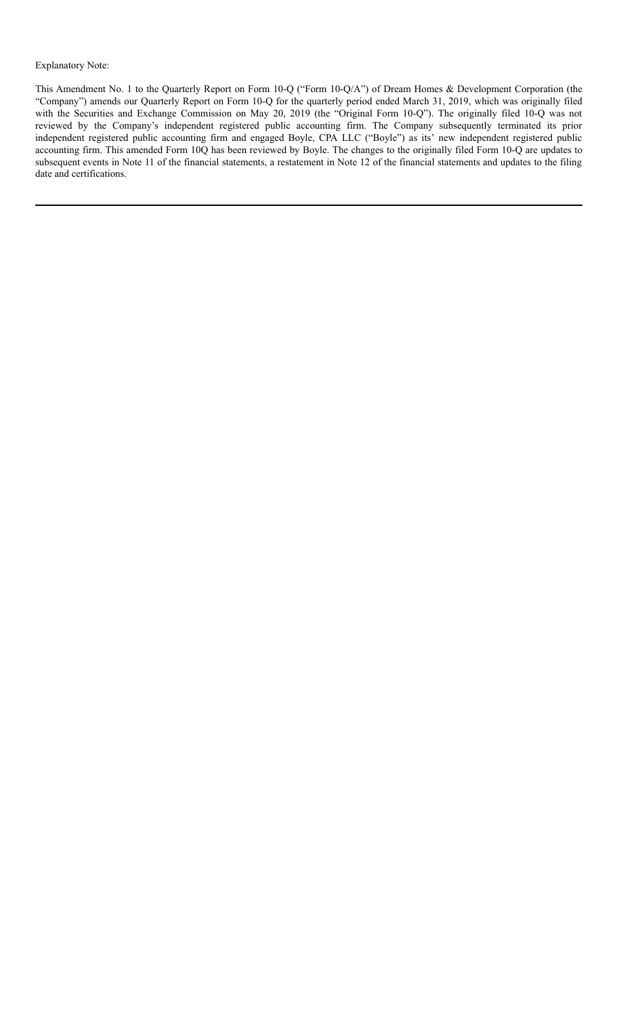## Explanatory Note:

This Amendment No. 1 to the Quarterly Report on Form 10-Q ("Form 10-Q/A") of Dream Homes & Development Corporation (the "Company") amends our Quarterly Report on Form 10-Q for the quarterly period ended March 31, 2019, which was originally filed with the Securities and Exchange Commission on May 20, 2019 (the "Original Form 10-Q"). The originally filed 10-Q was not reviewed by the Company's independent registered public accounting firm. The Company subsequently terminated its prior independent registered public accounting firm and engaged Boyle, CPA LLC ("Boyle") as its' new independent registered public accounting firm. This amended Form 10Q has been reviewed by Boyle. The changes to the originally filed Form 10-Q are updates to subsequent events in Note 11 of the financial statements, a restatement in Note 12 of the financial statements and updates to the filing date and certifications.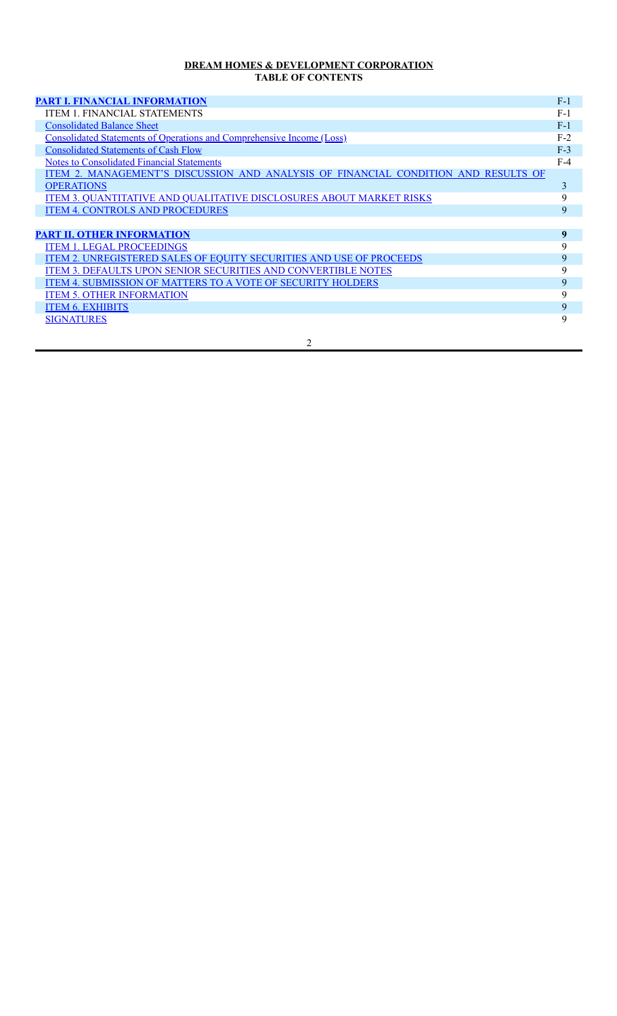#### **DREAM HOMES & DEVELOPMENT CORPORATION TABLE OF CONTENTS**

| <b>PART I. FINANCIAL INFORMATION</b>                                               | $F-1$ |
|------------------------------------------------------------------------------------|-------|
| <b>ITEM 1. FINANCIAL STATEMENTS</b>                                                | $F-1$ |
| <b>Consolidated Balance Sheet</b>                                                  | $F-1$ |
| <b>Consolidated Statements of Operations and Comprehensive Income (Loss)</b>       | $F-2$ |
| <b>Consolidated Statements of Cash Flow</b>                                        | $F-3$ |
| <b>Notes to Consolidated Financial Statements</b>                                  | $F-4$ |
| ITEM 2. MANAGEMENT'S DISCUSSION AND ANALYSIS OF FINANCIAL CONDITION AND RESULTS OF |       |
| <b>OPERATIONS</b>                                                                  | 3     |
| <b>ITEM 3. QUANTITATIVE AND QUALITATIVE DISCLOSURES ABOUT MARKET RISKS</b>         | 9     |
| <b>ITEM 4. CONTROLS AND PROCEDURES</b>                                             | 9     |
|                                                                                    |       |
| <b>PART II. OTHER INFORMATION</b>                                                  | 9     |
| <b>ITEM 1. LEGAL PROCEEDINGS</b>                                                   | 9     |
| <b>ITEM 2. UNREGISTERED SALES OF EQUITY SECURITIES AND USE OF PROCEEDS</b>         | 9     |
| <b>ITEM 3. DEFAULTS UPON SENIOR SECURITIES AND CONVERTIBLE NOTES</b>               | 9     |
| <b>ITEM 4. SUBMISSION OF MATTERS TO A VOTE OF SECURITY HOLDERS</b>                 | 9     |
| <b>ITEM 5. OTHER INFORMATION</b>                                                   | 9     |
| <b>ITEM 6. EXHIBITS</b>                                                            | 9     |
| <b>SIGNATURES</b>                                                                  | 9     |
|                                                                                    |       |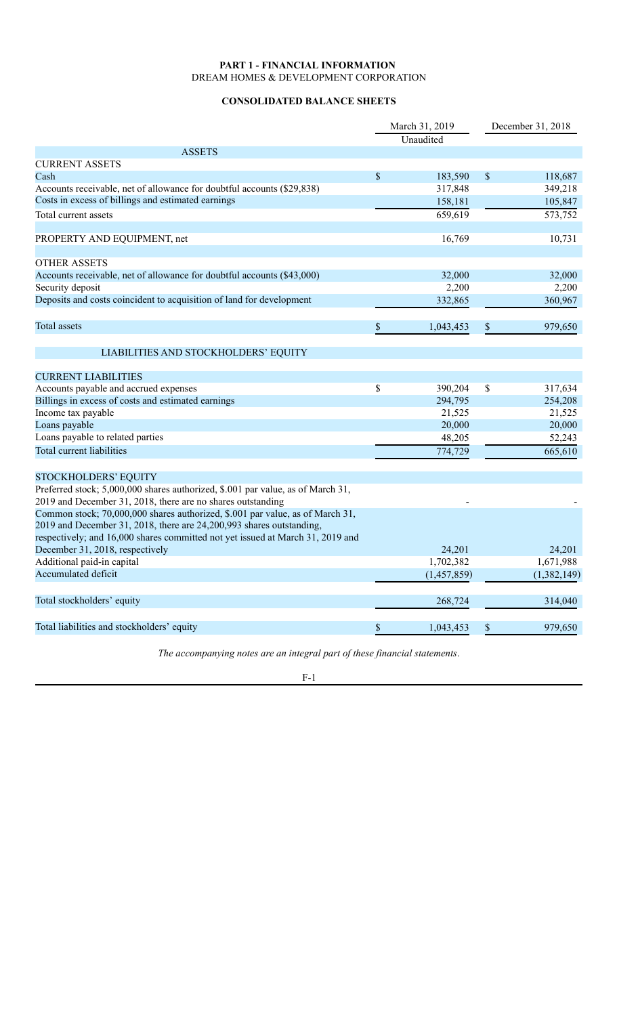## **PART 1 - FINANCIAL INFORMATION** DREAM HOMES & DEVELOPMENT CORPORATION

## **CONSOLIDATED BALANCE SHEETS**

<span id="page-3-1"></span><span id="page-3-0"></span>

|                                                                                                                                              | March 31, 2019<br>Unaudited |             | December 31, 2018 |             |
|----------------------------------------------------------------------------------------------------------------------------------------------|-----------------------------|-------------|-------------------|-------------|
| <b>ASSETS</b>                                                                                                                                |                             |             |                   |             |
| <b>CURRENT ASSETS</b>                                                                                                                        |                             |             |                   |             |
| Cash                                                                                                                                         | $\$$                        | 183,590     | $\mathbb{S}$      | 118,687     |
| Accounts receivable, net of allowance for doubtful accounts (\$29,838)                                                                       |                             | 317,848     |                   | 349,218     |
| Costs in excess of billings and estimated earnings                                                                                           |                             | 158,181     |                   | 105,847     |
| Total current assets                                                                                                                         |                             | 659,619     |                   | 573,752     |
| PROPERTY AND EQUIPMENT, net                                                                                                                  |                             | 16,769      |                   | 10,731      |
| <b>OTHER ASSETS</b>                                                                                                                          |                             |             |                   |             |
| Accounts receivable, net of allowance for doubtful accounts (\$43,000)                                                                       |                             | 32,000      |                   | 32,000      |
| Security deposit                                                                                                                             |                             | 2,200       |                   | 2,200       |
| Deposits and costs coincident to acquisition of land for development                                                                         |                             | 332,865     |                   | 360,967     |
| <b>Total assets</b>                                                                                                                          | \$                          | 1,043,453   | \$                | 979,650     |
| LIABILITIES AND STOCKHOLDERS' EQUITY                                                                                                         |                             |             |                   |             |
| <b>CURRENT LIABILITIES</b>                                                                                                                   |                             |             |                   |             |
| Accounts payable and accrued expenses                                                                                                        | \$                          | 390,204     | \$                | 317,634     |
| Billings in excess of costs and estimated earnings                                                                                           |                             | 294,795     |                   | 254,208     |
| Income tax payable                                                                                                                           |                             | 21,525      |                   | 21,525      |
| Loans payable                                                                                                                                |                             | 20,000      |                   | 20,000      |
| Loans payable to related parties                                                                                                             |                             | 48,205      |                   | 52,243      |
| <b>Total current liabilities</b>                                                                                                             |                             | 774,729     |                   | 665,610     |
| STOCKHOLDERS' EQUITY                                                                                                                         |                             |             |                   |             |
| Preferred stock; 5,000,000 shares authorized, \$.001 par value, as of March 31,                                                              |                             |             |                   |             |
| 2019 and December 31, 2018, there are no shares outstanding<br>Common stock; 70,000,000 shares authorized, \$.001 par value, as of March 31, |                             |             |                   |             |
| 2019 and December 31, 2018, there are 24, 200, 993 shares outstanding,                                                                       |                             |             |                   |             |
| respectively; and 16,000 shares committed not yet issued at March 31, 2019 and                                                               |                             |             |                   |             |
| December 31, 2018, respectively                                                                                                              |                             | 24,201      |                   | 24,201      |
| Additional paid-in capital                                                                                                                   |                             | 1,702,382   |                   | 1,671,988   |
| Accumulated deficit                                                                                                                          |                             |             |                   |             |
|                                                                                                                                              |                             | (1,457,859) |                   | (1,382,149) |
| Total stockholders' equity                                                                                                                   |                             | 268,724     |                   | 314,040     |
| Total liabilities and stockholders' equity                                                                                                   | \$                          | 1,043,453   | \$                | 979,650     |

*The accompanying notes are an integral part of these financial statements*.

F-1

<u> 1980 - Johann Barn, mars an t-Amerikaansk ferske omr</u>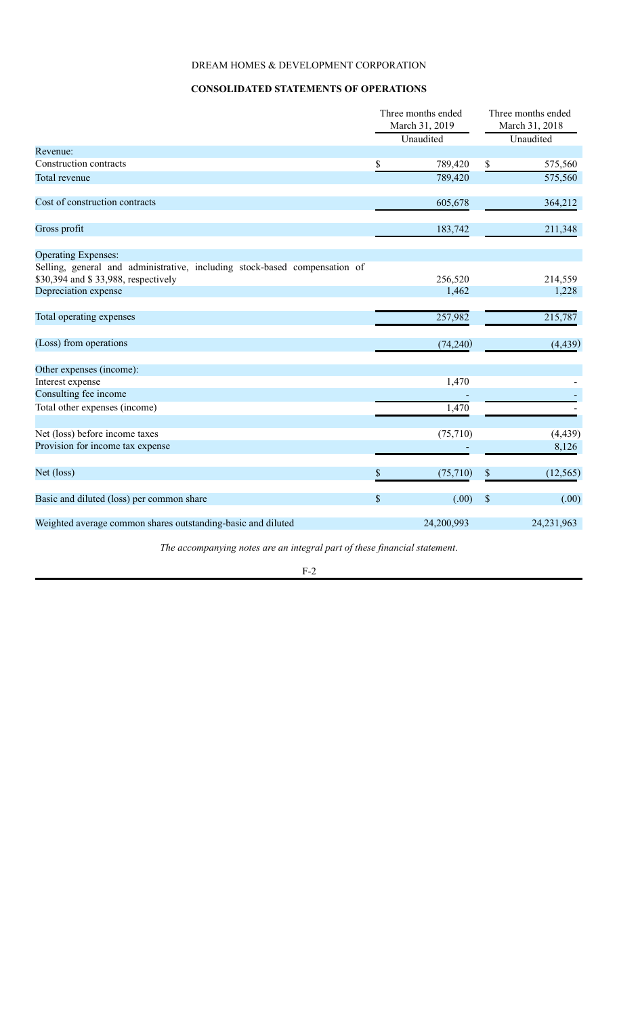## DREAM HOMES & DEVELOPMENT CORPORATION

## **CONSOLIDATED STATEMENTS OF OPERATIONS**

<span id="page-4-0"></span>

|                                                                                                                   | Three months ended<br>March 31, 2019 | Three months ended<br>March 31, 2018 |  |
|-------------------------------------------------------------------------------------------------------------------|--------------------------------------|--------------------------------------|--|
|                                                                                                                   | Unaudited                            | Unaudited                            |  |
| Revenue:                                                                                                          |                                      |                                      |  |
| Construction contracts                                                                                            | \$<br>789,420                        | \$<br>575,560                        |  |
| Total revenue                                                                                                     | 789,420                              | 575,560                              |  |
| Cost of construction contracts                                                                                    | 605,678                              | 364,212                              |  |
| Gross profit                                                                                                      | 183,742                              | 211,348                              |  |
| <b>Operating Expenses:</b>                                                                                        |                                      |                                      |  |
| Selling, general and administrative, including stock-based compensation of<br>\$30,394 and \$33,988, respectively | 256,520                              | 214,559                              |  |
| Depreciation expense                                                                                              | 1,462                                | 1,228                                |  |
| Total operating expenses                                                                                          | 257,982                              | 215,787                              |  |
| (Loss) from operations                                                                                            | (74,240)                             | (4, 439)                             |  |
| Other expenses (income):                                                                                          |                                      |                                      |  |
| Interest expense                                                                                                  | 1,470                                |                                      |  |
| Consulting fee income                                                                                             |                                      |                                      |  |
| Total other expenses (income)                                                                                     | 1,470                                |                                      |  |
| Net (loss) before income taxes                                                                                    | (75, 710)                            | (4, 439)                             |  |
| Provision for income tax expense                                                                                  |                                      | 8,126                                |  |
| Net (loss)                                                                                                        | \$<br>(75,710)                       | \$<br>(12, 565)                      |  |
| Basic and diluted (loss) per common share                                                                         | \$<br>(.00)                          | $\boldsymbol{\mathsf{S}}$<br>(.00)   |  |
| Weighted average common shares outstanding-basic and diluted                                                      | 24,200,993                           | 24, 231, 963                         |  |

*The accompanying notes are an integral part of these financial statement*.

F-2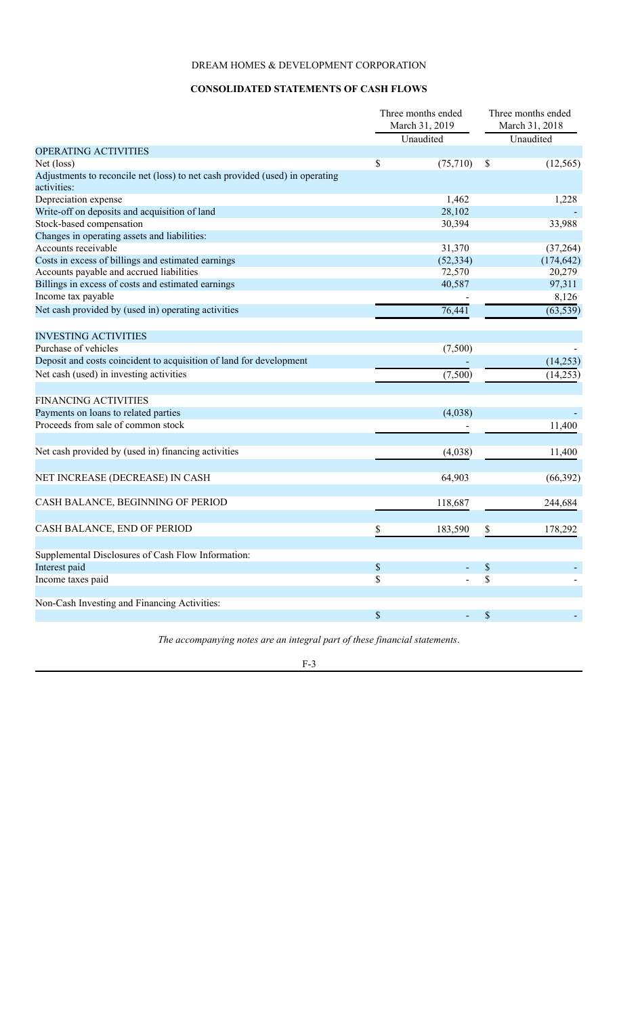## DREAM HOMES & DEVELOPMENT CORPORATION

## **CONSOLIDATED STATEMENTS OF CASH FLOWS**

<span id="page-5-0"></span>

|                                                                                             |    | Three months ended<br>March 31, 2019<br>Unaudited | Three months ended<br>March 31, 2018<br>Unaudited |            |  |
|---------------------------------------------------------------------------------------------|----|---------------------------------------------------|---------------------------------------------------|------------|--|
| OPERATING ACTIVITIES                                                                        |    |                                                   |                                                   |            |  |
| Net (loss)                                                                                  | \$ | (75,710)                                          | \$                                                | (12, 565)  |  |
| Adjustments to reconcile net (loss) to net cash provided (used) in operating<br>activities: |    |                                                   |                                                   |            |  |
| Depreciation expense                                                                        |    | 1,462                                             |                                                   | 1,228      |  |
| Write-off on deposits and acquisition of land                                               |    | 28,102                                            |                                                   |            |  |
| Stock-based compensation                                                                    |    | 30,394                                            |                                                   | 33,988     |  |
| Changes in operating assets and liabilities:                                                |    |                                                   |                                                   |            |  |
| Accounts receivable                                                                         |    | 31,370                                            |                                                   | (37, 264)  |  |
| Costs in excess of billings and estimated earnings                                          |    | (52, 334)                                         |                                                   | (174, 642) |  |
| Accounts payable and accrued liabilities                                                    |    | 72,570                                            |                                                   | 20,279     |  |
| Billings in excess of costs and estimated earnings                                          |    | 40,587                                            |                                                   | 97,311     |  |
| Income tax payable                                                                          |    |                                                   |                                                   | 8,126      |  |
| Net cash provided by (used in) operating activities                                         |    | 76,441                                            |                                                   | (63, 539)  |  |
| <b>INVESTING ACTIVITIES</b>                                                                 |    |                                                   |                                                   |            |  |
| Purchase of vehicles                                                                        |    | (7,500)                                           |                                                   |            |  |
| Deposit and costs coincident to acquisition of land for development                         |    |                                                   |                                                   | (14,253)   |  |
| Net cash (used) in investing activities                                                     |    | (7,500)                                           |                                                   | (14, 253)  |  |
| <b>FINANCING ACTIVITIES</b>                                                                 |    |                                                   |                                                   |            |  |
| Payments on loans to related parties                                                        |    | (4,038)                                           |                                                   |            |  |
| Proceeds from sale of common stock                                                          |    |                                                   |                                                   | 11,400     |  |
| Net cash provided by (used in) financing activities                                         |    | (4,038)                                           |                                                   | 11,400     |  |
|                                                                                             |    |                                                   |                                                   |            |  |
| NET INCREASE (DECREASE) IN CASH                                                             |    | 64,903                                            |                                                   | (66, 392)  |  |
| CASH BALANCE, BEGINNING OF PERIOD                                                           |    | 118,687                                           |                                                   | 244,684    |  |
| CASH BALANCE, END OF PERIOD                                                                 | \$ | 183,590                                           | \$                                                | 178,292    |  |
| Supplemental Disclosures of Cash Flow Information:                                          |    |                                                   |                                                   |            |  |
| Interest paid                                                                               | \$ |                                                   | \$                                                |            |  |
| Income taxes paid                                                                           | \$ |                                                   | \$                                                |            |  |
| Non-Cash Investing and Financing Activities:                                                |    |                                                   |                                                   |            |  |
|                                                                                             | \$ |                                                   | \$                                                |            |  |

*The accompanying notes are an integral part of these financial statements*.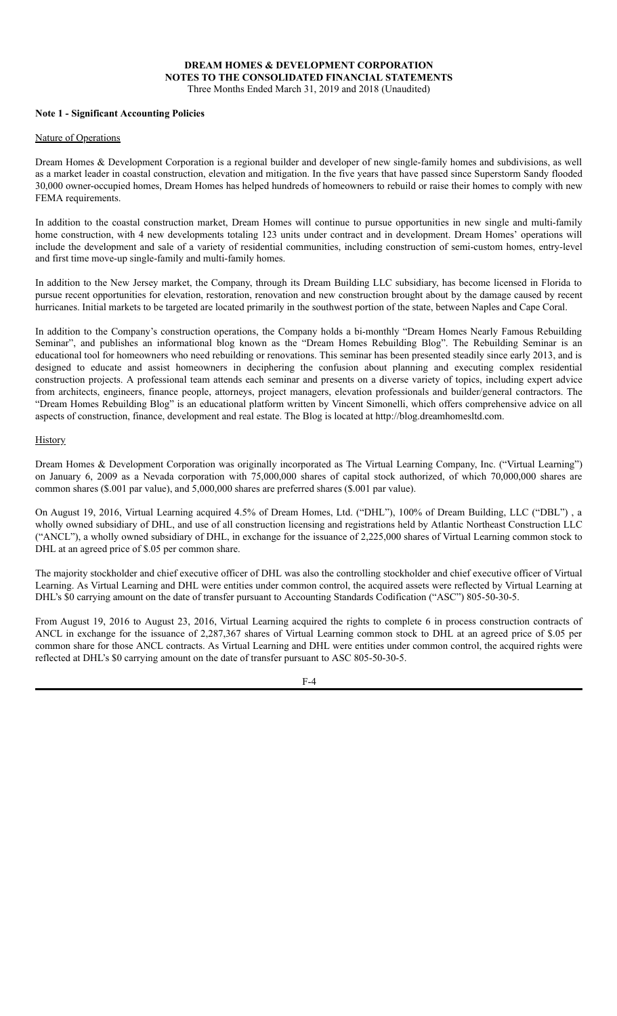#### **DREAM HOMES & DEVELOPMENT CORPORATION NOTES TO THE CONSOLIDATED FINANCIAL STATEMENTS** Three Months Ended March 31, 2019 and 2018 (Unaudited)

#### <span id="page-6-0"></span>**Note 1 - Significant Accounting Policies**

#### Nature of Operations

Dream Homes & Development Corporation is a regional builder and developer of new single-family homes and subdivisions, as well as a market leader in coastal construction, elevation and mitigation. In the five years that have passed since Superstorm Sandy flooded 30,000 owner-occupied homes, Dream Homes has helped hundreds of homeowners to rebuild or raise their homes to comply with new FEMA requirements.

In addition to the coastal construction market, Dream Homes will continue to pursue opportunities in new single and multi-family home construction, with 4 new developments totaling 123 units under contract and in development. Dream Homes' operations will include the development and sale of a variety of residential communities, including construction of semi-custom homes, entry-level and first time move-up single-family and multi-family homes.

In addition to the New Jersey market, the Company, through its Dream Building LLC subsidiary, has become licensed in Florida to pursue recent opportunities for elevation, restoration, renovation and new construction brought about by the damage caused by recent hurricanes. Initial markets to be targeted are located primarily in the southwest portion of the state, between Naples and Cape Coral.

In addition to the Company's construction operations, the Company holds a bi-monthly "Dream Homes Nearly Famous Rebuilding Seminar", and publishes an informational blog known as the "Dream Homes Rebuilding Blog". The Rebuilding Seminar is an educational tool for homeowners who need rebuilding or renovations. This seminar has been presented steadily since early 2013, and is designed to educate and assist homeowners in deciphering the confusion about planning and executing complex residential construction projects. A professional team attends each seminar and presents on a diverse variety of topics, including expert advice from architects, engineers, finance people, attorneys, project managers, elevation professionals and builder/general contractors. The "Dream Homes Rebuilding Blog" is an educational platform written by Vincent Simonelli, which offers comprehensive advice on all aspects of construction, finance, development and real estate. The Blog is located at http://blog.dreamhomesltd.com.

## **History**

Dream Homes & Development Corporation was originally incorporated as The Virtual Learning Company, Inc. ("Virtual Learning") on January 6, 2009 as a Nevada corporation with 75,000,000 shares of capital stock authorized, of which 70,000,000 shares are common shares (\$.001 par value), and 5,000,000 shares are preferred shares (\$.001 par value).

On August 19, 2016, Virtual Learning acquired 4.5% of Dream Homes, Ltd. ("DHL"), 100% of Dream Building, LLC ("DBL") , a wholly owned subsidiary of DHL, and use of all construction licensing and registrations held by Atlantic Northeast Construction LLC ("ANCL"), a wholly owned subsidiary of DHL, in exchange for the issuance of 2,225,000 shares of Virtual Learning common stock to DHL at an agreed price of \$.05 per common share.

The majority stockholder and chief executive officer of DHL was also the controlling stockholder and chief executive officer of Virtual Learning. As Virtual Learning and DHL were entities under common control, the acquired assets were reflected by Virtual Learning at DHL's \$0 carrying amount on the date of transfer pursuant to Accounting Standards Codification ("ASC") 805-50-30-5.

From August 19, 2016 to August 23, 2016, Virtual Learning acquired the rights to complete 6 in process construction contracts of ANCL in exchange for the issuance of 2,287,367 shares of Virtual Learning common stock to DHL at an agreed price of \$.05 per common share for those ANCL contracts. As Virtual Learning and DHL were entities under common control, the acquired rights were reflected at DHL's \$0 carrying amount on the date of transfer pursuant to ASC 805-50-30-5.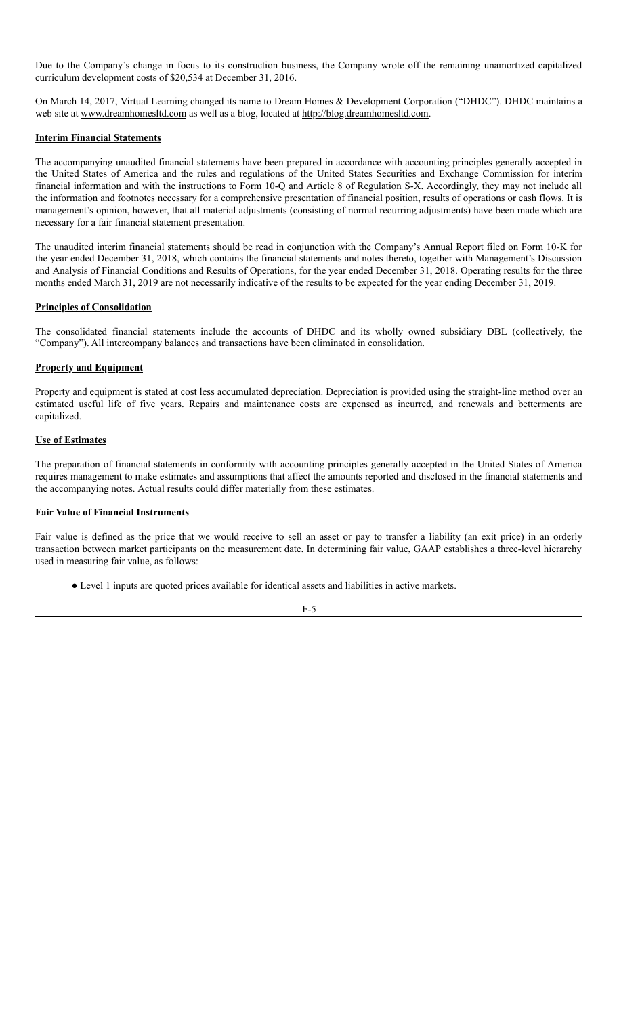Due to the Company's change in focus to its construction business, the Company wrote off the remaining unamortized capitalized curriculum development costs of \$20,534 at December 31, 2016.

On March 14, 2017, Virtual Learning changed its name to Dream Homes & Development Corporation ("DHDC"). DHDC maintains a web site at www.dreamhomesltd.com as well as a blog, located at http://blog.dreamhomesltd.com.

#### **Interim Financial Statements**

The accompanying unaudited financial statements have been prepared in accordance with accounting principles generally accepted in the United States of America and the rules and regulations of the United States Securities and Exchange Commission for interim financial information and with the instructions to Form 10-Q and Article 8 of Regulation S-X. Accordingly, they may not include all the information and footnotes necessary for a comprehensive presentation of financial position, results of operations or cash flows. It is management's opinion, however, that all material adjustments (consisting of normal recurring adjustments) have been made which are necessary for a fair financial statement presentation.

The unaudited interim financial statements should be read in conjunction with the Company's Annual Report filed on Form 10-K for the year ended December 31, 2018, which contains the financial statements and notes thereto, together with Management's Discussion and Analysis of Financial Conditions and Results of Operations, for the year ended December 31, 2018. Operating results for the three months ended March 31, 2019 are not necessarily indicative of the results to be expected for the year ending December 31, 2019.

## **Principles of Consolidation**

The consolidated financial statements include the accounts of DHDC and its wholly owned subsidiary DBL (collectively, the "Company"). All intercompany balances and transactions have been eliminated in consolidation.

## **Property and Equipment**

Property and equipment is stated at cost less accumulated depreciation. Depreciation is provided using the straight-line method over an estimated useful life of five years. Repairs and maintenance costs are expensed as incurred, and renewals and betterments are capitalized.

## **Use of Estimates**

The preparation of financial statements in conformity with accounting principles generally accepted in the United States of America requires management to make estimates and assumptions that affect the amounts reported and disclosed in the financial statements and the accompanying notes. Actual results could differ materially from these estimates.

#### **Fair Value of Financial Instruments**

Fair value is defined as the price that we would receive to sell an asset or pay to transfer a liability (an exit price) in an orderly transaction between market participants on the measurement date. In determining fair value, GAAP establishes a three-level hierarchy used in measuring fair value, as follows:

● Level 1 inputs are quoted prices available for identical assets and liabilities in active markets.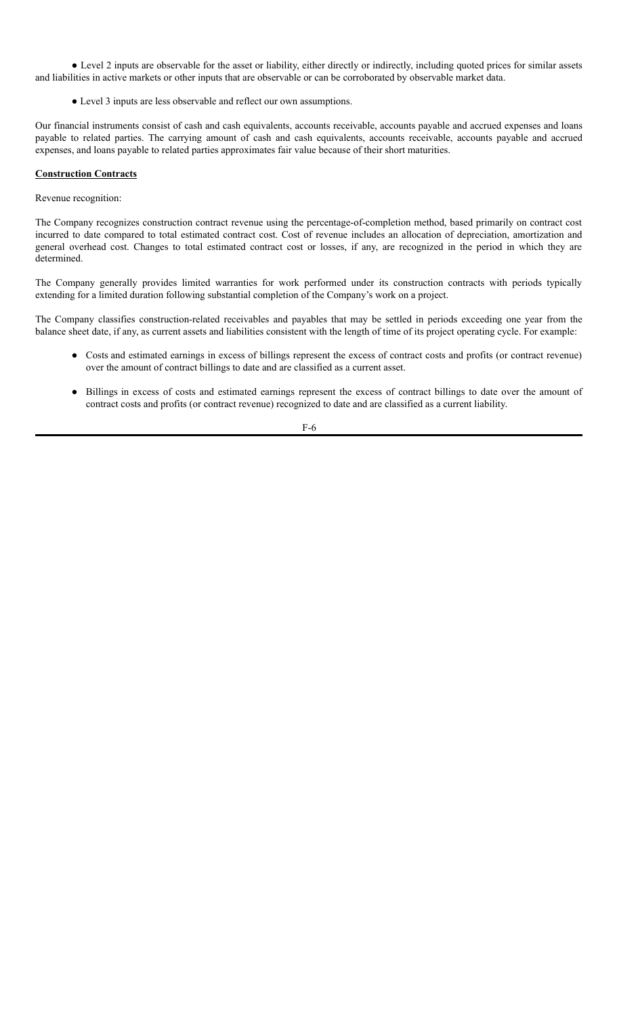● Level 2 inputs are observable for the asset or liability, either directly or indirectly, including quoted prices for similar assets and liabilities in active markets or other inputs that are observable or can be corroborated by observable market data.

● Level 3 inputs are less observable and reflect our own assumptions.

Our financial instruments consist of cash and cash equivalents, accounts receivable, accounts payable and accrued expenses and loans payable to related parties. The carrying amount of cash and cash equivalents, accounts receivable, accounts payable and accrued expenses, and loans payable to related parties approximates fair value because of their short maturities.

## **Construction Contracts**

Revenue recognition:

The Company recognizes construction contract revenue using the percentage-of-completion method, based primarily on contract cost incurred to date compared to total estimated contract cost. Cost of revenue includes an allocation of depreciation, amortization and general overhead cost. Changes to total estimated contract cost or losses, if any, are recognized in the period in which they are determined.

The Company generally provides limited warranties for work performed under its construction contracts with periods typically extending for a limited duration following substantial completion of the Company's work on a project.

The Company classifies construction-related receivables and payables that may be settled in periods exceeding one year from the balance sheet date, if any, as current assets and liabilities consistent with the length of time of its project operating cycle. For example:

- Costs and estimated earnings in excess of billings represent the excess of contract costs and profits (or contract revenue) over the amount of contract billings to date and are classified as a current asset.
- Billings in excess of costs and estimated earnings represent the excess of contract billings to date over the amount of contract costs and profits (or contract revenue) recognized to date and are classified as a current liability.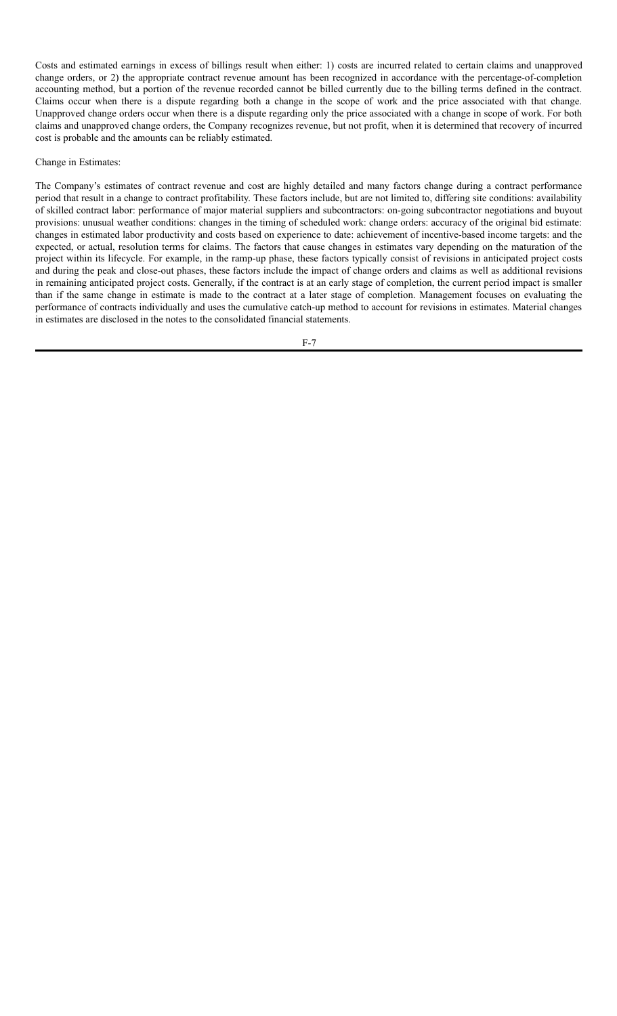Costs and estimated earnings in excess of billings result when either: 1) costs are incurred related to certain claims and unapproved change orders, or 2) the appropriate contract revenue amount has been recognized in accordance with the percentage-of-completion accounting method, but a portion of the revenue recorded cannot be billed currently due to the billing terms defined in the contract. Claims occur when there is a dispute regarding both a change in the scope of work and the price associated with that change. Unapproved change orders occur when there is a dispute regarding only the price associated with a change in scope of work. For both claims and unapproved change orders, the Company recognizes revenue, but not profit, when it is determined that recovery of incurred cost is probable and the amounts can be reliably estimated.

#### Change in Estimates:

The Company's estimates of contract revenue and cost are highly detailed and many factors change during a contract performance period that result in a change to contract profitability. These factors include, but are not limited to, differing site conditions: availability of skilled contract labor: performance of major material suppliers and subcontractors: on-going subcontractor negotiations and buyout provisions: unusual weather conditions: changes in the timing of scheduled work: change orders: accuracy of the original bid estimate: changes in estimated labor productivity and costs based on experience to date: achievement of incentive-based income targets: and the expected, or actual, resolution terms for claims. The factors that cause changes in estimates vary depending on the maturation of the project within its lifecycle. For example, in the ramp-up phase, these factors typically consist of revisions in anticipated project costs and during the peak and close-out phases, these factors include the impact of change orders and claims as well as additional revisions in remaining anticipated project costs. Generally, if the contract is at an early stage of completion, the current period impact is smaller than if the same change in estimate is made to the contract at a later stage of completion. Management focuses on evaluating the performance of contracts individually and uses the cumulative catch-up method to account for revisions in estimates. Material changes in estimates are disclosed in the notes to the consolidated financial statements.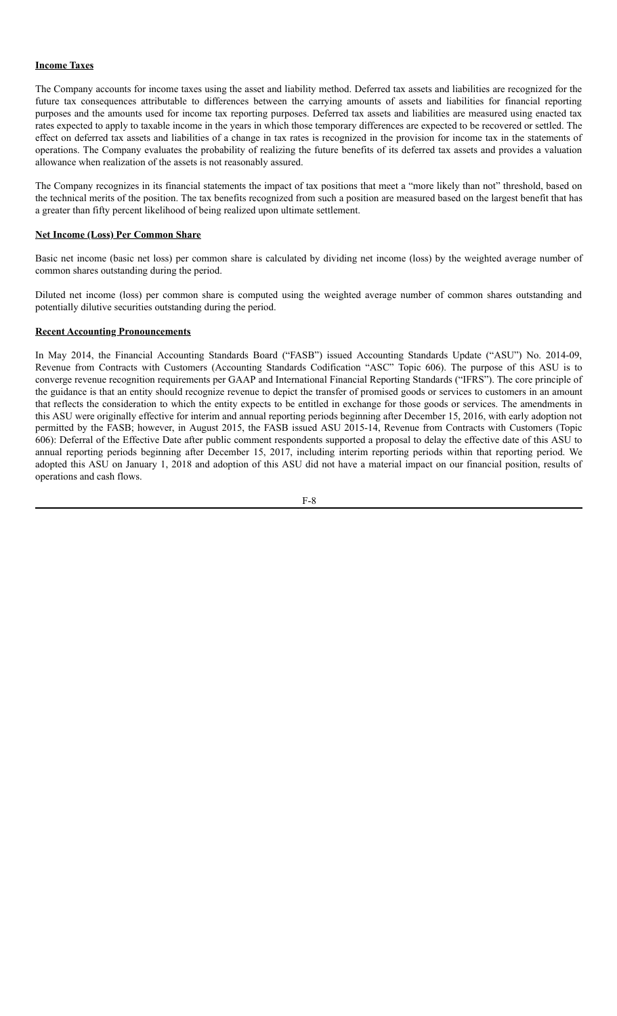#### **Income Taxes**

The Company accounts for income taxes using the asset and liability method. Deferred tax assets and liabilities are recognized for the future tax consequences attributable to differences between the carrying amounts of assets and liabilities for financial reporting purposes and the amounts used for income tax reporting purposes. Deferred tax assets and liabilities are measured using enacted tax rates expected to apply to taxable income in the years in which those temporary differences are expected to be recovered or settled. The effect on deferred tax assets and liabilities of a change in tax rates is recognized in the provision for income tax in the statements of operations. The Company evaluates the probability of realizing the future benefits of its deferred tax assets and provides a valuation allowance when realization of the assets is not reasonably assured.

The Company recognizes in its financial statements the impact of tax positions that meet a "more likely than not" threshold, based on the technical merits of the position. The tax benefits recognized from such a position are measured based on the largest benefit that has a greater than fifty percent likelihood of being realized upon ultimate settlement.

#### **Net Income (Loss) Per Common Share**

Basic net income (basic net loss) per common share is calculated by dividing net income (loss) by the weighted average number of common shares outstanding during the period.

Diluted net income (loss) per common share is computed using the weighted average number of common shares outstanding and potentially dilutive securities outstanding during the period.

#### **Recent Accounting Pronouncements**

In May 2014, the Financial Accounting Standards Board ("FASB") issued Accounting Standards Update ("ASU") No. 2014-09, Revenue from Contracts with Customers (Accounting Standards Codification "ASC" Topic 606). The purpose of this ASU is to converge revenue recognition requirements per GAAP and International Financial Reporting Standards ("IFRS"). The core principle of the guidance is that an entity should recognize revenue to depict the transfer of promised goods or services to customers in an amount that reflects the consideration to which the entity expects to be entitled in exchange for those goods or services. The amendments in this ASU were originally effective for interim and annual reporting periods beginning after December 15, 2016, with early adoption not permitted by the FASB; however, in August 2015, the FASB issued ASU 2015-14, Revenue from Contracts with Customers (Topic 606): Deferral of the Effective Date after public comment respondents supported a proposal to delay the effective date of this ASU to annual reporting periods beginning after December 15, 2017, including interim reporting periods within that reporting period. We adopted this ASU on January 1, 2018 and adoption of this ASU did not have a material impact on our financial position, results of operations and cash flows.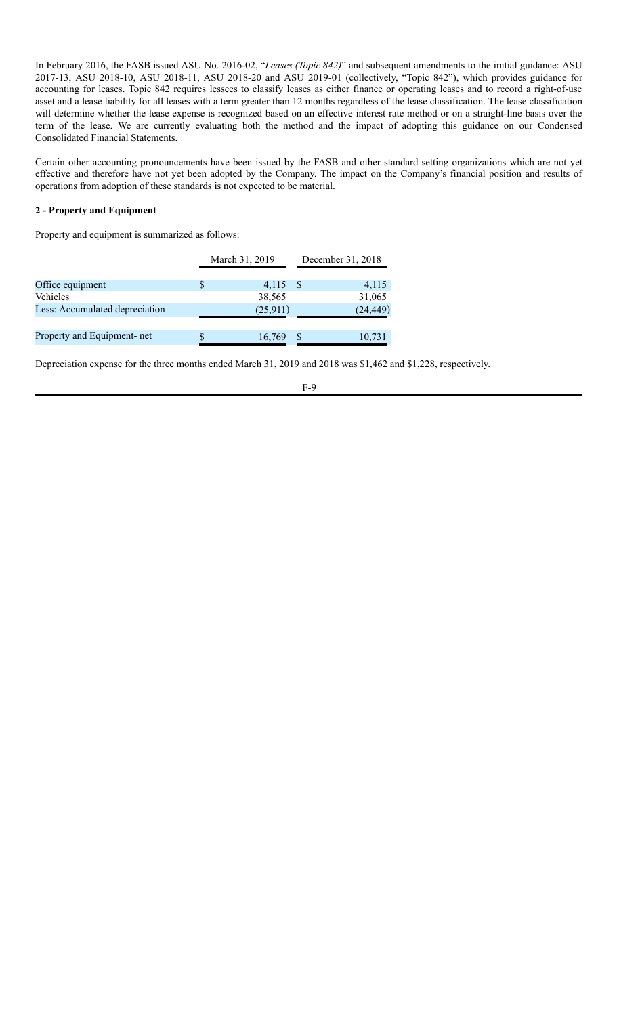In February 2016, the FASB issued ASU No. 2016-02, "*Leases (Topic 842)*" and subsequent amendments to the initial guidance: ASU 2017-13, ASU 2018-10, ASU 2018-11, ASU 2018-20 and ASU 2019-01 (collectively, "Topic 842"), which provides guidance for accounting for leases. Topic 842 requires lessees to classify leases as either finance or operating leases and to record a right-of-use asset and a lease liability for all leases with a term greater than 12 months regardless of the lease classification. The lease classification will determine whether the lease expense is recognized based on an effective interest rate method or on a straight-line basis over the term of the lease. We are currently evaluating both the method and the impact of adopting this guidance on our Condensed Consolidated Financial Statements.

Certain other accounting pronouncements have been issued by the FASB and other standard setting organizations which are not yet effective and therefore have not yet been adopted by the Company. The impact on the Company's financial position and results of operations from adoption of these standards is not expected to be material.

## **2 - Property and Equipment**

Property and equipment is summarized as follows:

|                                | March 31, 2019 |          |  | December 31, 2018 |
|--------------------------------|----------------|----------|--|-------------------|
| Office equipment               |                | 4,115    |  | 4,115             |
| Vehicles                       |                | 38,565   |  | 31,065            |
| Less: Accumulated depreciation |                | (25,911) |  | (24, 449)         |
| Property and Equipment- net    |                | 16,769   |  | 10,731            |

Depreciation expense for the three months ended March 31, 2019 and 2018 was \$1,462 and \$1,228, respectively.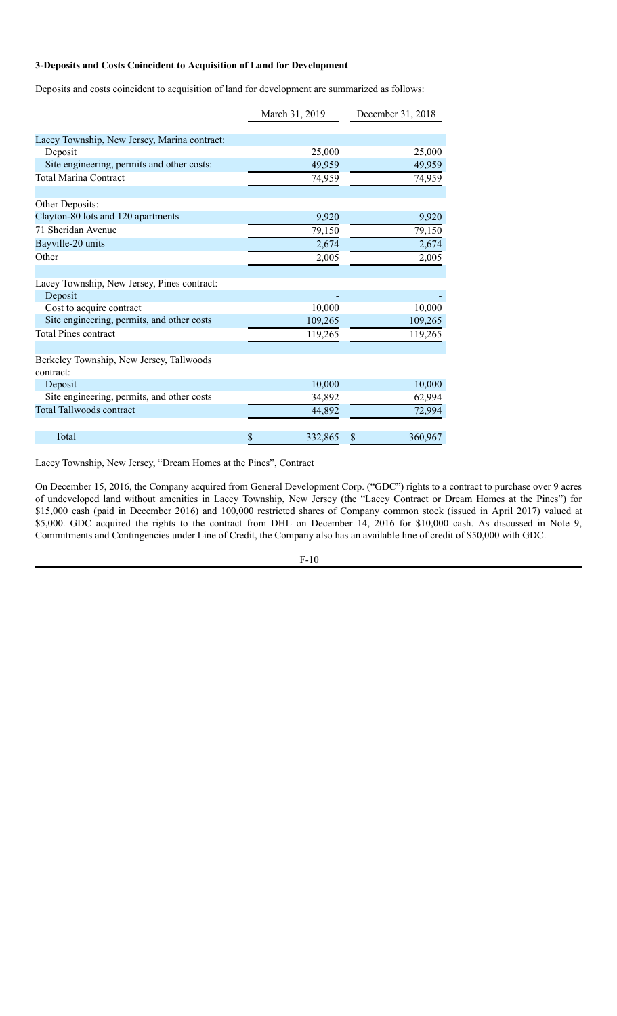## **3-Deposits and Costs Coincident to Acquisition of Land for Development**

Deposits and costs coincident to acquisition of land for development are summarized as follows:

|                                              | March 31, 2019 | December 31, 2018 |         |
|----------------------------------------------|----------------|-------------------|---------|
|                                              |                |                   |         |
| Lacey Township, New Jersey, Marina contract: |                |                   |         |
| Deposit                                      | 25,000         |                   | 25,000  |
| Site engineering, permits and other costs:   | 49,959         |                   | 49,959  |
| <b>Total Marina Contract</b>                 | 74,959         |                   | 74,959  |
| Other Deposits:                              |                |                   |         |
| Clayton-80 lots and 120 apartments           | 9,920          |                   | 9,920   |
| 71 Sheridan Avenue                           | 79,150         |                   | 79,150  |
| Bayville-20 units                            | 2,674          |                   | 2,674   |
| Other                                        | 2,005          |                   | 2,005   |
| Lacey Township, New Jersey, Pines contract:  |                |                   |         |
| Deposit                                      |                |                   |         |
| Cost to acquire contract                     | 10,000         |                   | 10,000  |
| Site engineering, permits, and other costs   | 109,265        |                   | 109,265 |
| <b>Total Pines contract</b>                  | 119,265        |                   | 119,265 |
| Berkeley Township, New Jersey, Tallwoods     |                |                   |         |
| contract:                                    |                |                   |         |
| Deposit                                      | 10,000         |                   | 10,000  |
| Site engineering, permits, and other costs   | 34,892         |                   | 62,994  |
| <b>Total Tallwoods contract</b>              | 44,892         |                   | 72,994  |
| Total                                        | \$<br>332,865  | \$                | 360,967 |

Lacey Township, New Jersey, "Dream Homes at the Pines", Contract

On December 15, 2016, the Company acquired from General Development Corp. ("GDC") rights to a contract to purchase over 9 acres of undeveloped land without amenities in Lacey Township, New Jersey (the "Lacey Contract or Dream Homes at the Pines") for \$15,000 cash (paid in December 2016) and 100,000 restricted shares of Company common stock (issued in April 2017) valued at \$5,000. GDC acquired the rights to the contract from DHL on December 14, 2016 for \$10,000 cash. As discussed in Note 9, Commitments and Contingencies under Line of Credit, the Company also has an available line of credit of \$50,000 with GDC.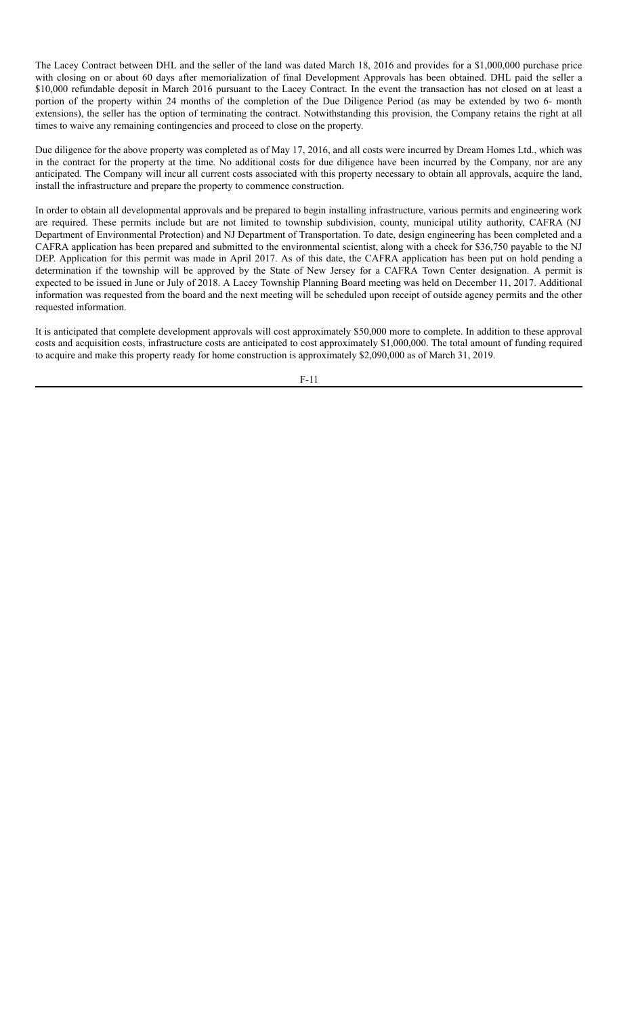The Lacey Contract between DHL and the seller of the land was dated March 18, 2016 and provides for a \$1,000,000 purchase price with closing on or about 60 days after memorialization of final Development Approvals has been obtained. DHL paid the seller a \$10,000 refundable deposit in March 2016 pursuant to the Lacey Contract. In the event the transaction has not closed on at least a portion of the property within 24 months of the completion of the Due Diligence Period (as may be extended by two 6- month extensions), the seller has the option of terminating the contract. Notwithstanding this provision, the Company retains the right at all times to waive any remaining contingencies and proceed to close on the property.

Due diligence for the above property was completed as of May 17, 2016, and all costs were incurred by Dream Homes Ltd., which was in the contract for the property at the time. No additional costs for due diligence have been incurred by the Company, nor are any anticipated. The Company will incur all current costs associated with this property necessary to obtain all approvals, acquire the land, install the infrastructure and prepare the property to commence construction.

In order to obtain all developmental approvals and be prepared to begin installing infrastructure, various permits and engineering work are required. These permits include but are not limited to township subdivision, county, municipal utility authority, CAFRA (NJ Department of Environmental Protection) and NJ Department of Transportation. To date, design engineering has been completed and a CAFRA application has been prepared and submitted to the environmental scientist, along with a check for \$36,750 payable to the NJ DEP. Application for this permit was made in April 2017. As of this date, the CAFRA application has been put on hold pending a determination if the township will be approved by the State of New Jersey for a CAFRA Town Center designation. A permit is expected to be issued in June or July of 2018. A Lacey Township Planning Board meeting was held on December 11, 2017. Additional information was requested from the board and the next meeting will be scheduled upon receipt of outside agency permits and the other requested information.

It is anticipated that complete development approvals will cost approximately \$50,000 more to complete. In addition to these approval costs and acquisition costs, infrastructure costs are anticipated to cost approximately \$1,000,000. The total amount of funding required to acquire and make this property ready for home construction is approximately \$2,090,000 as of March 31, 2019.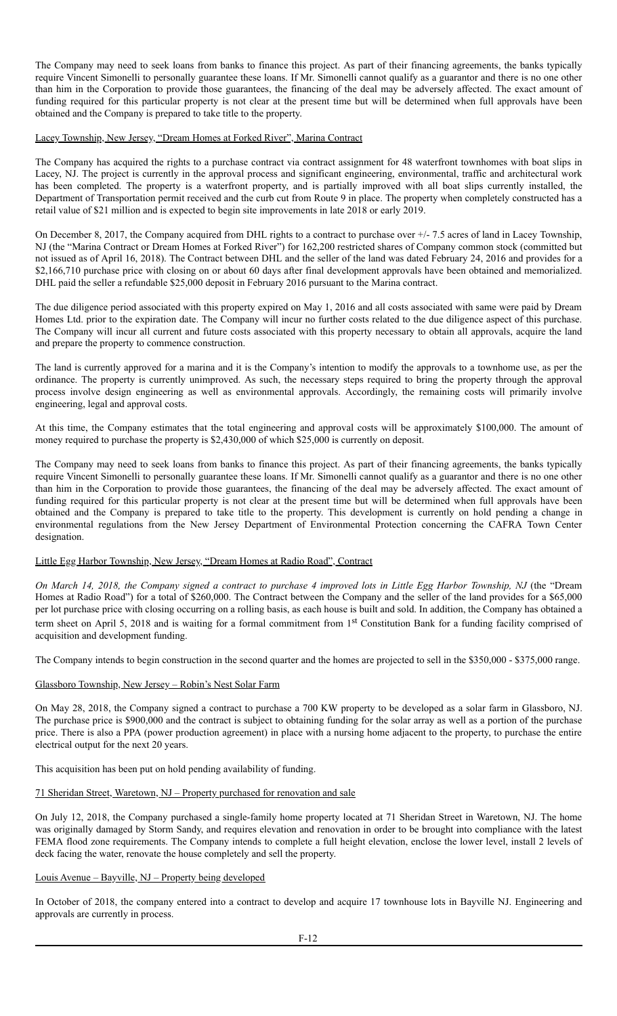The Company may need to seek loans from banks to finance this project. As part of their financing agreements, the banks typically require Vincent Simonelli to personally guarantee these loans. If Mr. Simonelli cannot qualify as a guarantor and there is no one other than him in the Corporation to provide those guarantees, the financing of the deal may be adversely affected. The exact amount of funding required for this particular property is not clear at the present time but will be determined when full approvals have been obtained and the Company is prepared to take title to the property.

#### Lacey Township, New Jersey, "Dream Homes at Forked River", Marina Contract

The Company has acquired the rights to a purchase contract via contract assignment for 48 waterfront townhomes with boat slips in Lacey, NJ. The project is currently in the approval process and significant engineering, environmental, traffic and architectural work has been completed. The property is a waterfront property, and is partially improved with all boat slips currently installed, the Department of Transportation permit received and the curb cut from Route 9 in place. The property when completely constructed has a retail value of \$21 million and is expected to begin site improvements in late 2018 or early 2019.

On December 8, 2017, the Company acquired from DHL rights to a contract to purchase over +/- 7.5 acres of land in Lacey Township, NJ (the "Marina Contract or Dream Homes at Forked River") for 162,200 restricted shares of Company common stock (committed but not issued as of April 16, 2018). The Contract between DHL and the seller of the land was dated February 24, 2016 and provides for a \$2,166,710 purchase price with closing on or about 60 days after final development approvals have been obtained and memorialized. DHL paid the seller a refundable \$25,000 deposit in February 2016 pursuant to the Marina contract.

The due diligence period associated with this property expired on May 1, 2016 and all costs associated with same were paid by Dream Homes Ltd. prior to the expiration date. The Company will incur no further costs related to the due diligence aspect of this purchase. The Company will incur all current and future costs associated with this property necessary to obtain all approvals, acquire the land and prepare the property to commence construction.

The land is currently approved for a marina and it is the Company's intention to modify the approvals to a townhome use, as per the ordinance. The property is currently unimproved. As such, the necessary steps required to bring the property through the approval process involve design engineering as well as environmental approvals. Accordingly, the remaining costs will primarily involve engineering, legal and approval costs.

At this time, the Company estimates that the total engineering and approval costs will be approximately \$100,000. The amount of money required to purchase the property is \$2,430,000 of which \$25,000 is currently on deposit.

The Company may need to seek loans from banks to finance this project. As part of their financing agreements, the banks typically require Vincent Simonelli to personally guarantee these loans. If Mr. Simonelli cannot qualify as a guarantor and there is no one other than him in the Corporation to provide those guarantees, the financing of the deal may be adversely affected. The exact amount of funding required for this particular property is not clear at the present time but will be determined when full approvals have been obtained and the Company is prepared to take title to the property. This development is currently on hold pending a change in environmental regulations from the New Jersey Department of Environmental Protection concerning the CAFRA Town Center designation.

#### Little Egg Harbor Township, New Jersey, "Dream Homes at Radio Road", Contract

On March 14, 2018, the Company signed a contract to purchase 4 improved lots in Little Egg Harbor Township, NJ (the "Dream Homes at Radio Road") for a total of \$260,000. The Contract between the Company and the seller of the land provides for a \$65,000 per lot purchase price with closing occurring on a rolling basis, as each house is built and sold. In addition, the Company has obtained a term sheet on April 5, 2018 and is waiting for a formal commitment from 1<sup>st</sup> Constitution Bank for a funding facility comprised of acquisition and development funding.

The Company intends to begin construction in the second quarter and the homes are projected to sell in the \$350,000 - \$375,000 range.

#### Glassboro Township, New Jersey – Robin's Nest Solar Farm

On May 28, 2018, the Company signed a contract to purchase a 700 KW property to be developed as a solar farm in Glassboro, NJ. The purchase price is \$900,000 and the contract is subject to obtaining funding for the solar array as well as a portion of the purchase price. There is also a PPA (power production agreement) in place with a nursing home adjacent to the property, to purchase the entire electrical output for the next 20 years.

This acquisition has been put on hold pending availability of funding.

## 71 Sheridan Street, Waretown, NJ – Property purchased for renovation and sale

On July 12, 2018, the Company purchased a single-family home property located at 71 Sheridan Street in Waretown, NJ. The home was originally damaged by Storm Sandy, and requires elevation and renovation in order to be brought into compliance with the latest FEMA flood zone requirements. The Company intends to complete a full height elevation, enclose the lower level, install 2 levels of deck facing the water, renovate the house completely and sell the property.

## Louis Avenue – Bayville, NJ – Property being developed

In October of 2018, the company entered into a contract to develop and acquire 17 townhouse lots in Bayville NJ. Engineering and approvals are currently in process.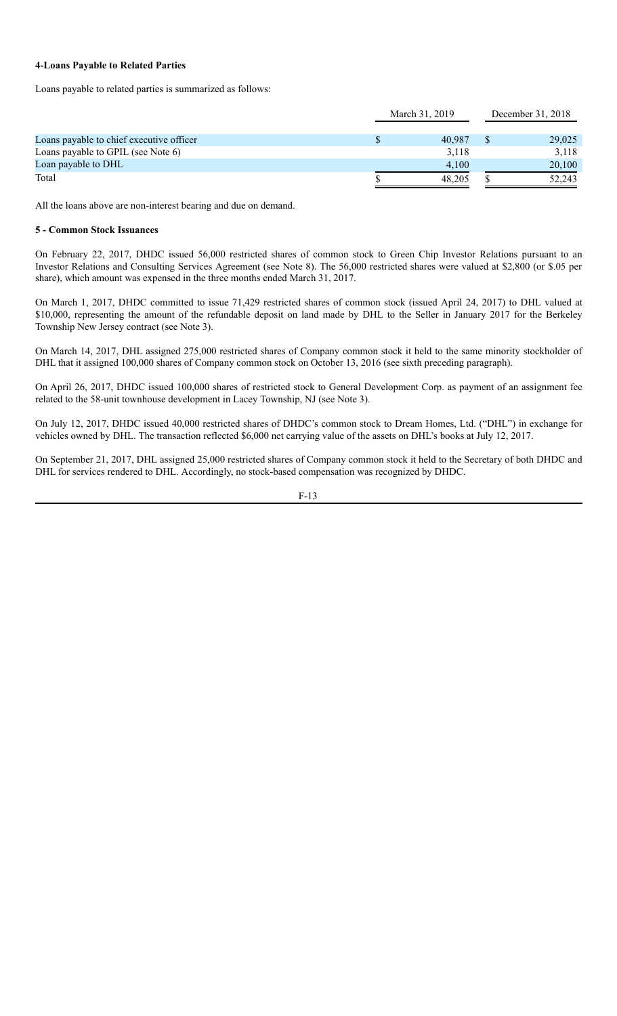## **4-Loans Payable to Related Parties**

Loans payable to related parties is summarized as follows:

|                                          | March 31, 2019 |        | December 31, 2018 |        |
|------------------------------------------|----------------|--------|-------------------|--------|
|                                          |                |        |                   |        |
| Loans payable to chief executive officer |                | 40.987 |                   | 29,025 |
| Loans payable to GPIL (see Note 6)       |                | 3.118  |                   | 3,118  |
| Loan payable to DHL                      |                | 4.100  |                   | 20,100 |
| Total                                    |                | 48.205 |                   | 52.243 |

All the loans above are non-interest bearing and due on demand.

## **5 - Common Stock Issuances**

On February 22, 2017, DHDC issued 56,000 restricted shares of common stock to Green Chip Investor Relations pursuant to an Investor Relations and Consulting Services Agreement (see Note 8). The 56,000 restricted shares were valued at \$2,800 (or \$.05 per share), which amount was expensed in the three months ended March 31, 2017.

On March 1, 2017, DHDC committed to issue 71,429 restricted shares of common stock (issued April 24, 2017) to DHL valued at \$10,000, representing the amount of the refundable deposit on land made by DHL to the Seller in January 2017 for the Berkeley Township New Jersey contract (see Note 3).

On March 14, 2017, DHL assigned 275,000 restricted shares of Company common stock it held to the same minority stockholder of DHL that it assigned 100,000 shares of Company common stock on October 13, 2016 (see sixth preceding paragraph).

On April 26, 2017, DHDC issued 100,000 shares of restricted stock to General Development Corp. as payment of an assignment fee related to the 58-unit townhouse development in Lacey Township, NJ (see Note 3).

On July 12, 2017, DHDC issued 40,000 restricted shares of DHDC's common stock to Dream Homes, Ltd. ("DHL") in exchange for vehicles owned by DHL. The transaction reflected \$6,000 net carrying value of the assets on DHL's books at July 12, 2017.

On September 21, 2017, DHL assigned 25,000 restricted shares of Company common stock it held to the Secretary of both DHDC and DHL for services rendered to DHL. Accordingly, no stock-based compensation was recognized by DHDC.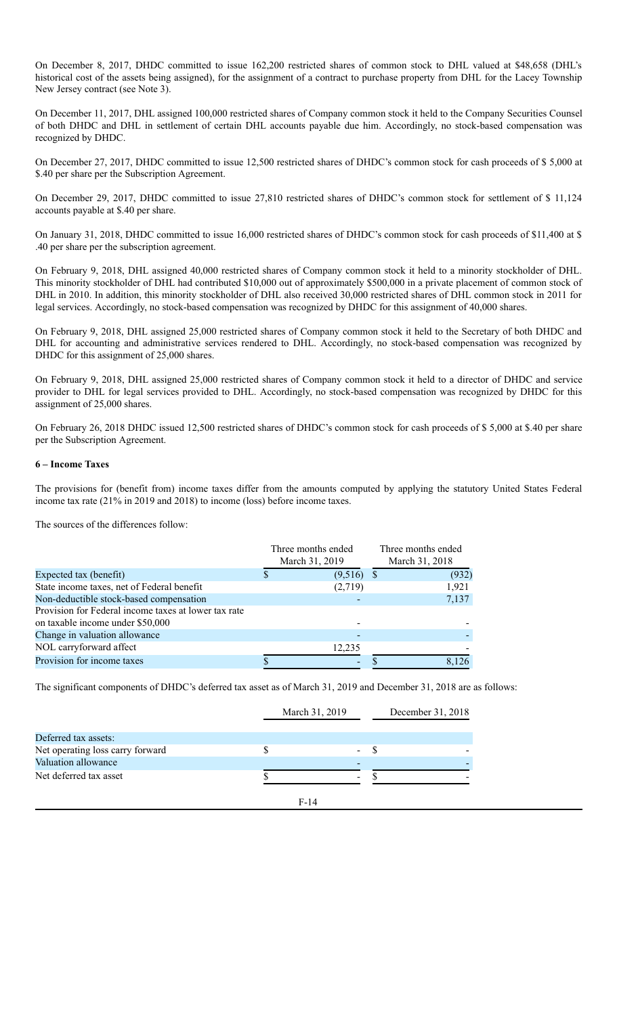On December 8, 2017, DHDC committed to issue 162,200 restricted shares of common stock to DHL valued at \$48,658 (DHL's historical cost of the assets being assigned), for the assignment of a contract to purchase property from DHL for the Lacey Township New Jersey contract (see Note 3).

On December 11, 2017, DHL assigned 100,000 restricted shares of Company common stock it held to the Company Securities Counsel of both DHDC and DHL in settlement of certain DHL accounts payable due him. Accordingly, no stock-based compensation was recognized by DHDC.

On December 27, 2017, DHDC committed to issue 12,500 restricted shares of DHDC's common stock for cash proceeds of \$ 5,000 at \$.40 per share per the Subscription Agreement.

On December 29, 2017, DHDC committed to issue 27,810 restricted shares of DHDC's common stock for settlement of \$ 11,124 accounts payable at \$.40 per share.

On January 31, 2018, DHDC committed to issue 16,000 restricted shares of DHDC's common stock for cash proceeds of \$11,400 at \$ .40 per share per the subscription agreement.

On February 9, 2018, DHL assigned 40,000 restricted shares of Company common stock it held to a minority stockholder of DHL. This minority stockholder of DHL had contributed \$10,000 out of approximately \$500,000 in a private placement of common stock of DHL in 2010. In addition, this minority stockholder of DHL also received 30,000 restricted shares of DHL common stock in 2011 for legal services. Accordingly, no stock-based compensation was recognized by DHDC for this assignment of 40,000 shares.

On February 9, 2018, DHL assigned 25,000 restricted shares of Company common stock it held to the Secretary of both DHDC and DHL for accounting and administrative services rendered to DHL. Accordingly, no stock-based compensation was recognized by DHDC for this assignment of 25,000 shares.

On February 9, 2018, DHL assigned 25,000 restricted shares of Company common stock it held to a director of DHDC and service provider to DHL for legal services provided to DHL. Accordingly, no stock-based compensation was recognized by DHDC for this assignment of 25,000 shares.

On February 26, 2018 DHDC issued 12,500 restricted shares of DHDC's common stock for cash proceeds of \$ 5,000 at \$.40 per share per the Subscription Agreement.

## **6 – Income Taxes**

The provisions for (benefit from) income taxes differ from the amounts computed by applying the statutory United States Federal income tax rate (21% in 2019 and 2018) to income (loss) before income taxes.

The sources of the differences follow:

|                                                                                          | Three months ended<br>March 31, 2019 |                          | Three months ended<br>March 31, 2018 |
|------------------------------------------------------------------------------------------|--------------------------------------|--------------------------|--------------------------------------|
| Expected tax (benefit)                                                                   |                                      | $(9,516)$ \$             | (932)                                |
| State income taxes, net of Federal benefit                                               |                                      | (2,719)                  | 1,921                                |
| Non-deductible stock-based compensation                                                  |                                      |                          | 7,137                                |
| Provision for Federal income taxes at lower tax rate<br>on taxable income under \$50,000 |                                      |                          |                                      |
| Change in valuation allowance                                                            |                                      |                          |                                      |
| NOL carryforward affect                                                                  |                                      | 12,235                   |                                      |
| Provision for income taxes                                                               |                                      | $\overline{\phantom{0}}$ | 8.126                                |

The significant components of DHDC's deferred tax asset as of March 31, 2019 and December 31, 2018 are as follows:

|                                  | March 31, 2019 |                          | December 31, 2018 |
|----------------------------------|----------------|--------------------------|-------------------|
| Deferred tax assets:             |                |                          |                   |
| Net operating loss carry forward |                | -                        |                   |
| Valuation allowance              |                |                          |                   |
| Net deferred tax asset           |                | $\overline{\phantom{a}}$ |                   |
|                                  | $F-14$         |                          |                   |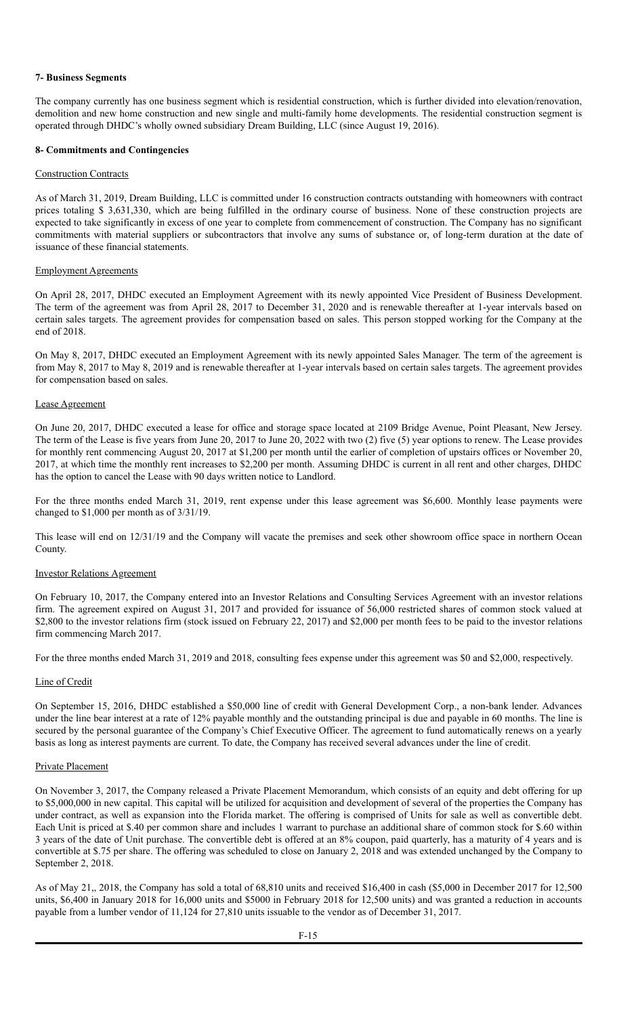#### **7- Business Segments**

The company currently has one business segment which is residential construction, which is further divided into elevation/renovation, demolition and new home construction and new single and multi-family home developments. The residential construction segment is operated through DHDC's wholly owned subsidiary Dream Building, LLC (since August 19, 2016).

#### **8- Commitments and Contingencies**

#### Construction Contracts

As of March 31, 2019, Dream Building, LLC is committed under 16 construction contracts outstanding with homeowners with contract prices totaling \$ 3,631,330, which are being fulfilled in the ordinary course of business. None of these construction projects are expected to take significantly in excess of one year to complete from commencement of construction. The Company has no significant commitments with material suppliers or subcontractors that involve any sums of substance or, of long-term duration at the date of issuance of these financial statements.

#### Employment Agreements

On April 28, 2017, DHDC executed an Employment Agreement with its newly appointed Vice President of Business Development. The term of the agreement was from April 28, 2017 to December 31, 2020 and is renewable thereafter at 1-year intervals based on certain sales targets. The agreement provides for compensation based on sales. This person stopped working for the Company at the end of 2018.

On May 8, 2017, DHDC executed an Employment Agreement with its newly appointed Sales Manager. The term of the agreement is from May 8, 2017 to May 8, 2019 and is renewable thereafter at 1-year intervals based on certain sales targets. The agreement provides for compensation based on sales.

#### Lease Agreement

On June 20, 2017, DHDC executed a lease for office and storage space located at 2109 Bridge Avenue, Point Pleasant, New Jersey. The term of the Lease is five years from June 20, 2017 to June 20, 2022 with two (2) five (5) year options to renew. The Lease provides for monthly rent commencing August 20, 2017 at \$1,200 per month until the earlier of completion of upstairs offices or November 20, 2017, at which time the monthly rent increases to \$2,200 per month. Assuming DHDC is current in all rent and other charges, DHDC has the option to cancel the Lease with 90 days written notice to Landlord.

For the three months ended March 31, 2019, rent expense under this lease agreement was \$6,600. Monthly lease payments were changed to \$1,000 per month as of 3/31/19.

This lease will end on 12/31/19 and the Company will vacate the premises and seek other showroom office space in northern Ocean County.

#### Investor Relations Agreement

On February 10, 2017, the Company entered into an Investor Relations and Consulting Services Agreement with an investor relations firm. The agreement expired on August 31, 2017 and provided for issuance of 56,000 restricted shares of common stock valued at \$2,800 to the investor relations firm (stock issued on February 22, 2017) and \$2,000 per month fees to be paid to the investor relations firm commencing March 2017.

For the three months ended March 31, 2019 and 2018, consulting fees expense under this agreement was \$0 and \$2,000, respectively.

#### Line of Credit

On September 15, 2016, DHDC established a \$50,000 line of credit with General Development Corp., a non-bank lender. Advances under the line bear interest at a rate of 12% payable monthly and the outstanding principal is due and payable in 60 months. The line is secured by the personal guarantee of the Company's Chief Executive Officer. The agreement to fund automatically renews on a yearly basis as long as interest payments are current. To date, the Company has received several advances under the line of credit.

#### Private Placement

On November 3, 2017, the Company released a Private Placement Memorandum, which consists of an equity and debt offering for up to \$5,000,000 in new capital. This capital will be utilized for acquisition and development of several of the properties the Company has under contract, as well as expansion into the Florida market. The offering is comprised of Units for sale as well as convertible debt. Each Unit is priced at \$.40 per common share and includes 1 warrant to purchase an additional share of common stock for \$.60 within 3 years of the date of Unit purchase. The convertible debt is offered at an 8% coupon, paid quarterly, has a maturity of 4 years and is convertible at \$.75 per share. The offering was scheduled to close on January 2, 2018 and was extended unchanged by the Company to September 2, 2018.

As of May 21,, 2018, the Company has sold a total of 68,810 units and received \$16,400 in cash (\$5,000 in December 2017 for 12,500 units, \$6,400 in January 2018 for 16,000 units and \$5000 in February 2018 for 12,500 units) and was granted a reduction in accounts payable from a lumber vendor of 11,124 for 27,810 units issuable to the vendor as of December 31, 2017.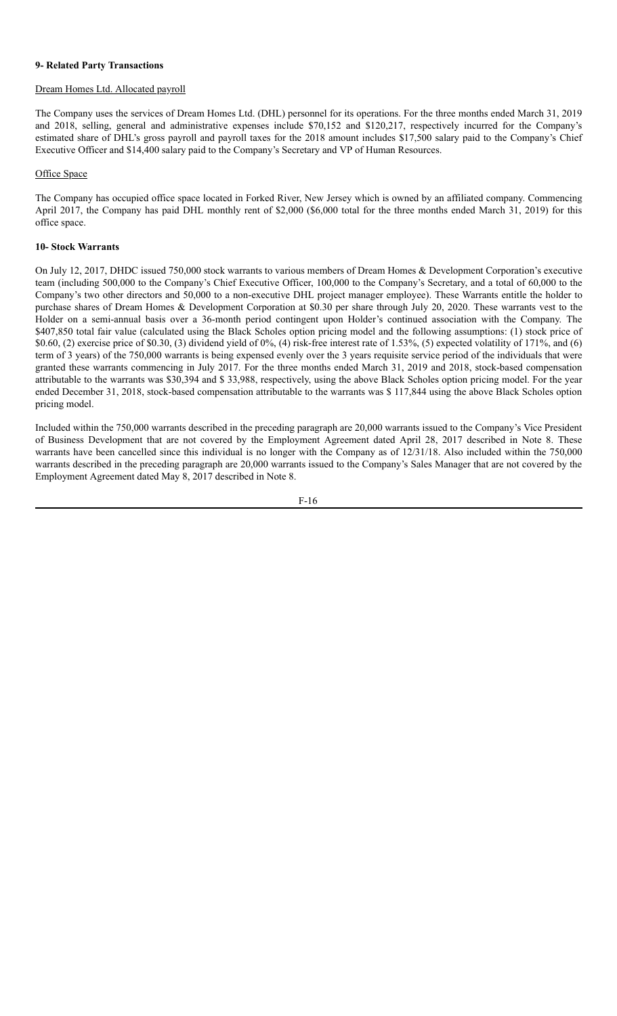#### **9- Related Party Transactions**

#### Dream Homes Ltd. Allocated payroll

The Company uses the services of Dream Homes Ltd. (DHL) personnel for its operations. For the three months ended March 31, 2019 and 2018, selling, general and administrative expenses include \$70,152 and \$120,217, respectively incurred for the Company's estimated share of DHL's gross payroll and payroll taxes for the 2018 amount includes \$17,500 salary paid to the Company's Chief Executive Officer and \$14,400 salary paid to the Company's Secretary and VP of Human Resources.

#### Office Space

The Company has occupied office space located in Forked River, New Jersey which is owned by an affiliated company. Commencing April 2017, the Company has paid DHL monthly rent of \$2,000 (\$6,000 total for the three months ended March 31, 2019) for this office space.

#### **10- Stock Warrants**

On July 12, 2017, DHDC issued 750,000 stock warrants to various members of Dream Homes & Development Corporation's executive team (including 500,000 to the Company's Chief Executive Officer, 100,000 to the Company's Secretary, and a total of 60,000 to the Company's two other directors and 50,000 to a non-executive DHL project manager employee). These Warrants entitle the holder to purchase shares of Dream Homes & Development Corporation at \$0.30 per share through July 20, 2020. These warrants vest to the Holder on a semi-annual basis over a 36-month period contingent upon Holder's continued association with the Company. The \$407,850 total fair value (calculated using the Black Scholes option pricing model and the following assumptions: (1) stock price of \$0.60, (2) exercise price of \$0.30, (3) dividend yield of 0%, (4) risk-free interest rate of 1.53%, (5) expected volatility of 171%, and (6) term of 3 years) of the 750,000 warrants is being expensed evenly over the 3 years requisite service period of the individuals that were granted these warrants commencing in July 2017. For the three months ended March 31, 2019 and 2018, stock-based compensation attributable to the warrants was \$30,394 and \$ 33,988, respectively, using the above Black Scholes option pricing model. For the year ended December 31, 2018, stock-based compensation attributable to the warrants was \$ 117,844 using the above Black Scholes option pricing model.

Included within the 750,000 warrants described in the preceding paragraph are 20,000 warrants issued to the Company's Vice President of Business Development that are not covered by the Employment Agreement dated April 28, 2017 described in Note 8. These warrants have been cancelled since this individual is no longer with the Company as of 12/31/18. Also included within the 750,000 warrants described in the preceding paragraph are 20,000 warrants issued to the Company's Sales Manager that are not covered by the Employment Agreement dated May 8, 2017 described in Note 8.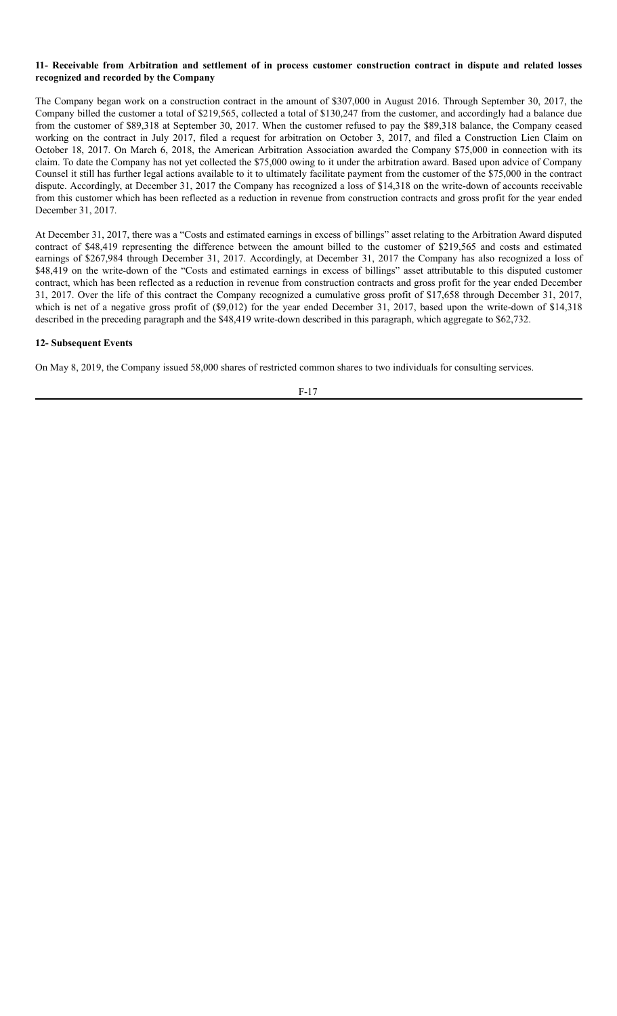#### 11- Receivable from Arbitration and settlement of in process customer construction contract in dispute and related losses **recognized and recorded by the Company**

The Company began work on a construction contract in the amount of \$307,000 in August 2016. Through September 30, 2017, the Company billed the customer a total of \$219,565, collected a total of \$130,247 from the customer, and accordingly had a balance due from the customer of \$89,318 at September 30, 2017. When the customer refused to pay the \$89,318 balance, the Company ceased working on the contract in July 2017, filed a request for arbitration on October 3, 2017, and filed a Construction Lien Claim on October 18, 2017. On March 6, 2018, the American Arbitration Association awarded the Company \$75,000 in connection with its claim. To date the Company has not yet collected the \$75,000 owing to it under the arbitration award. Based upon advice of Company Counsel it still has further legal actions available to it to ultimately facilitate payment from the customer of the \$75,000 in the contract dispute. Accordingly, at December 31, 2017 the Company has recognized a loss of \$14,318 on the write-down of accounts receivable from this customer which has been reflected as a reduction in revenue from construction contracts and gross profit for the year ended December 31, 2017.

At December 31, 2017, there was a "Costs and estimated earnings in excess of billings" asset relating to the Arbitration Award disputed contract of \$48,419 representing the difference between the amount billed to the customer of \$219,565 and costs and estimated earnings of \$267,984 through December 31, 2017. Accordingly, at December 31, 2017 the Company has also recognized a loss of \$48,419 on the write-down of the "Costs and estimated earnings in excess of billings" asset attributable to this disputed customer contract, which has been reflected as a reduction in revenue from construction contracts and gross profit for the year ended December 31, 2017. Over the life of this contract the Company recognized a cumulative gross profit of \$17,658 through December 31, 2017, which is net of a negative gross profit of (\$9,012) for the year ended December 31, 2017, based upon the write-down of \$14,318 described in the preceding paragraph and the \$48,419 write-down described in this paragraph, which aggregate to \$62,732.

## **12- Subsequent Events**

On May 8, 2019, the Company issued 58,000 shares of restricted common shares to two individuals for consulting services.

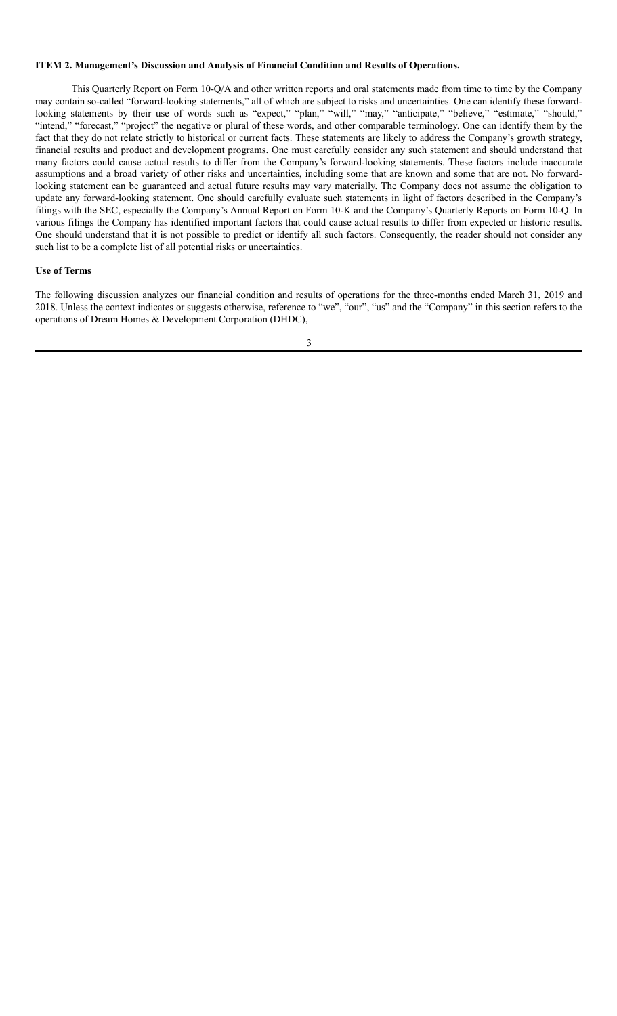## <span id="page-20-0"></span>**ITEM 2. Management's Discussion and Analysis of Financial Condition and Results of Operations.**

This Quarterly Report on Form 10-Q/A and other written reports and oral statements made from time to time by the Company may contain so-called "forward-looking statements," all of which are subject to risks and uncertainties. One can identify these forwardlooking statements by their use of words such as "expect," "plan," "will," "may," "anticipate," "believe," "estimate," "should," "intend," "forecast," "project" the negative or plural of these words, and other comparable terminology. One can identify them by the fact that they do not relate strictly to historical or current facts. These statements are likely to address the Company's growth strategy, financial results and product and development programs. One must carefully consider any such statement and should understand that many factors could cause actual results to differ from the Company's forward-looking statements. These factors include inaccurate assumptions and a broad variety of other risks and uncertainties, including some that are known and some that are not. No forwardlooking statement can be guaranteed and actual future results may vary materially. The Company does not assume the obligation to update any forward-looking statement. One should carefully evaluate such statements in light of factors described in the Company's filings with the SEC, especially the Company's Annual Report on Form 10-K and the Company's Quarterly Reports on Form 10-Q. In various filings the Company has identified important factors that could cause actual results to differ from expected or historic results. One should understand that it is not possible to predict or identify all such factors. Consequently, the reader should not consider any such list to be a complete list of all potential risks or uncertainties.

#### **Use of Terms**

The following discussion analyzes our financial condition and results of operations for the three-months ended March 31, 2019 and 2018. Unless the context indicates or suggests otherwise, reference to "we", "our", "us" and the "Company" in this section refers to the operations of Dream Homes & Development Corporation (DHDC),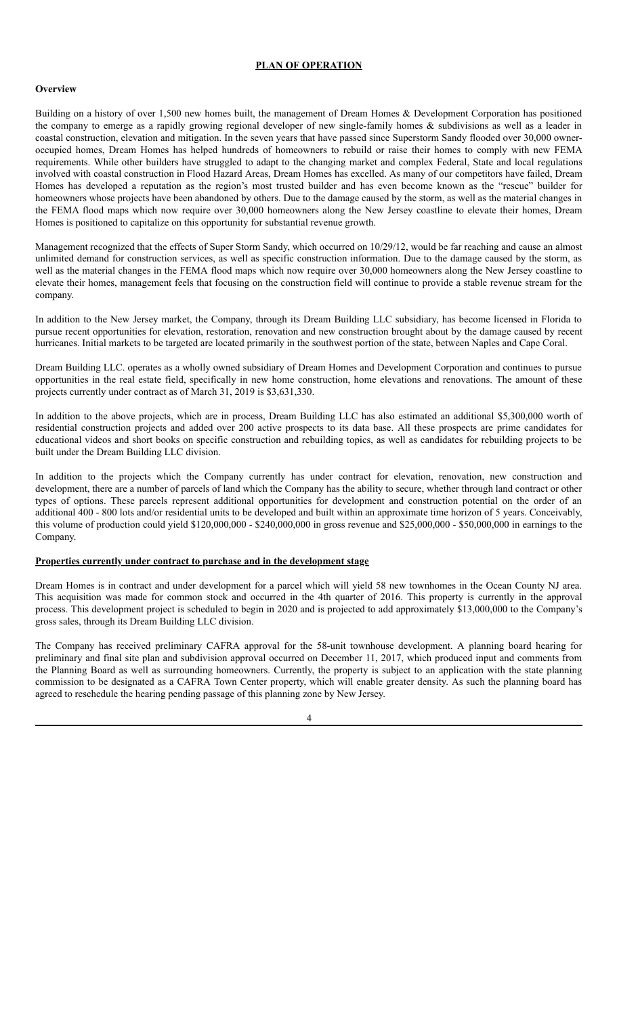#### **PLAN OF OPERATION**

#### **Overview**

Building on a history of over 1,500 new homes built, the management of Dream Homes & Development Corporation has positioned the company to emerge as a rapidly growing regional developer of new single-family homes & subdivisions as well as a leader in coastal construction, elevation and mitigation. In the seven years that have passed since Superstorm Sandy flooded over 30,000 owneroccupied homes, Dream Homes has helped hundreds of homeowners to rebuild or raise their homes to comply with new FEMA requirements. While other builders have struggled to adapt to the changing market and complex Federal, State and local regulations involved with coastal construction in Flood Hazard Areas, Dream Homes has excelled. As many of our competitors have failed, Dream Homes has developed a reputation as the region's most trusted builder and has even become known as the "rescue" builder for homeowners whose projects have been abandoned by others. Due to the damage caused by the storm, as well as the material changes in the FEMA flood maps which now require over 30,000 homeowners along the New Jersey coastline to elevate their homes, Dream Homes is positioned to capitalize on this opportunity for substantial revenue growth.

Management recognized that the effects of Super Storm Sandy, which occurred on 10/29/12, would be far reaching and cause an almost unlimited demand for construction services, as well as specific construction information. Due to the damage caused by the storm, as well as the material changes in the FEMA flood maps which now require over 30,000 homeowners along the New Jersey coastline to elevate their homes, management feels that focusing on the construction field will continue to provide a stable revenue stream for the company.

In addition to the New Jersey market, the Company, through its Dream Building LLC subsidiary, has become licensed in Florida to pursue recent opportunities for elevation, restoration, renovation and new construction brought about by the damage caused by recent hurricanes. Initial markets to be targeted are located primarily in the southwest portion of the state, between Naples and Cape Coral.

Dream Building LLC. operates as a wholly owned subsidiary of Dream Homes and Development Corporation and continues to pursue opportunities in the real estate field, specifically in new home construction, home elevations and renovations. The amount of these projects currently under contract as of March 31, 2019 is \$3,631,330.

In addition to the above projects, which are in process, Dream Building LLC has also estimated an additional \$5,300,000 worth of residential construction projects and added over 200 active prospects to its data base. All these prospects are prime candidates for educational videos and short books on specific construction and rebuilding topics, as well as candidates for rebuilding projects to be built under the Dream Building LLC division.

In addition to the projects which the Company currently has under contract for elevation, renovation, new construction and development, there are a number of parcels of land which the Company has the ability to secure, whether through land contract or other types of options. These parcels represent additional opportunities for development and construction potential on the order of an additional 400 - 800 lots and/or residential units to be developed and built within an approximate time horizon of 5 years. Conceivably, this volume of production could yield \$120,000,000 - \$240,000,000 in gross revenue and \$25,000,000 - \$50,000,000 in earnings to the Company.

#### **Properties currently under contract to purchase and in the development stage**

Dream Homes is in contract and under development for a parcel which will yield 58 new townhomes in the Ocean County NJ area. This acquisition was made for common stock and occurred in the 4th quarter of 2016. This property is currently in the approval process. This development project is scheduled to begin in 2020 and is projected to add approximately \$13,000,000 to the Company's gross sales, through its Dream Building LLC division.

The Company has received preliminary CAFRA approval for the 58-unit townhouse development. A planning board hearing for preliminary and final site plan and subdivision approval occurred on December 11, 2017, which produced input and comments from the Planning Board as well as surrounding homeowners. Currently, the property is subject to an application with the state planning commission to be designated as a CAFRA Town Center property, which will enable greater density. As such the planning board has agreed to reschedule the hearing pending passage of this planning zone by New Jersey.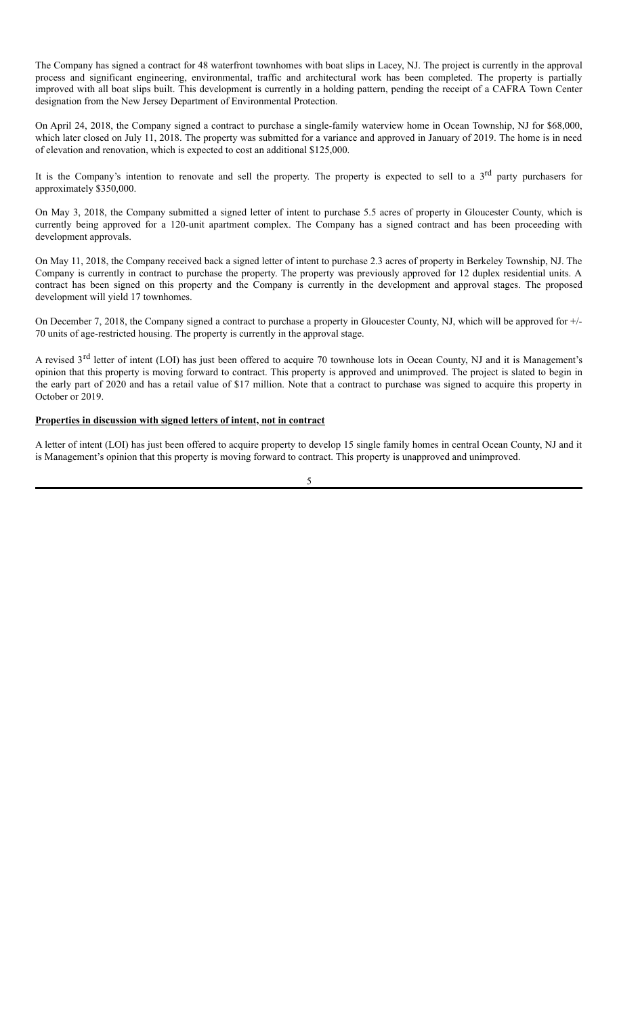The Company has signed a contract for 48 waterfront townhomes with boat slips in Lacey, NJ. The project is currently in the approval process and significant engineering, environmental, traffic and architectural work has been completed. The property is partially improved with all boat slips built. This development is currently in a holding pattern, pending the receipt of a CAFRA Town Center designation from the New Jersey Department of Environmental Protection.

On April 24, 2018, the Company signed a contract to purchase a single-family waterview home in Ocean Township, NJ for \$68,000, which later closed on July 11, 2018. The property was submitted for a variance and approved in January of 2019. The home is in need of elevation and renovation, which is expected to cost an additional \$125,000.

It is the Company's intention to renovate and sell the property. The property is expected to sell to a 3<sup>rd</sup> party purchasers for approximately \$350,000.

On May 3, 2018, the Company submitted a signed letter of intent to purchase 5.5 acres of property in Gloucester County, which is currently being approved for a 120-unit apartment complex. The Company has a signed contract and has been proceeding with development approvals.

On May 11, 2018, the Company received back a signed letter of intent to purchase 2.3 acres of property in Berkeley Township, NJ. The Company is currently in contract to purchase the property. The property was previously approved for 12 duplex residential units. A contract has been signed on this property and the Company is currently in the development and approval stages. The proposed development will yield 17 townhomes.

On December 7, 2018, the Company signed a contract to purchase a property in Gloucester County, NJ, which will be approved for +/- 70 units of age-restricted housing. The property is currently in the approval stage.

A revised 3<sup>rd</sup> letter of intent (LOI) has just been offered to acquire 70 townhouse lots in Ocean County, NJ and it is Management's opinion that this property is moving forward to contract. This property is approved and unimproved. The project is slated to begin in the early part of 2020 and has a retail value of \$17 million. Note that a contract to purchase was signed to acquire this property in October or 2019.

## **Properties in discussion with signed letters of intent, not in contract**

A letter of intent (LOI) has just been offered to acquire property to develop 15 single family homes in central Ocean County, NJ and it is Management's opinion that this property is moving forward to contract. This property is unapproved and unimproved.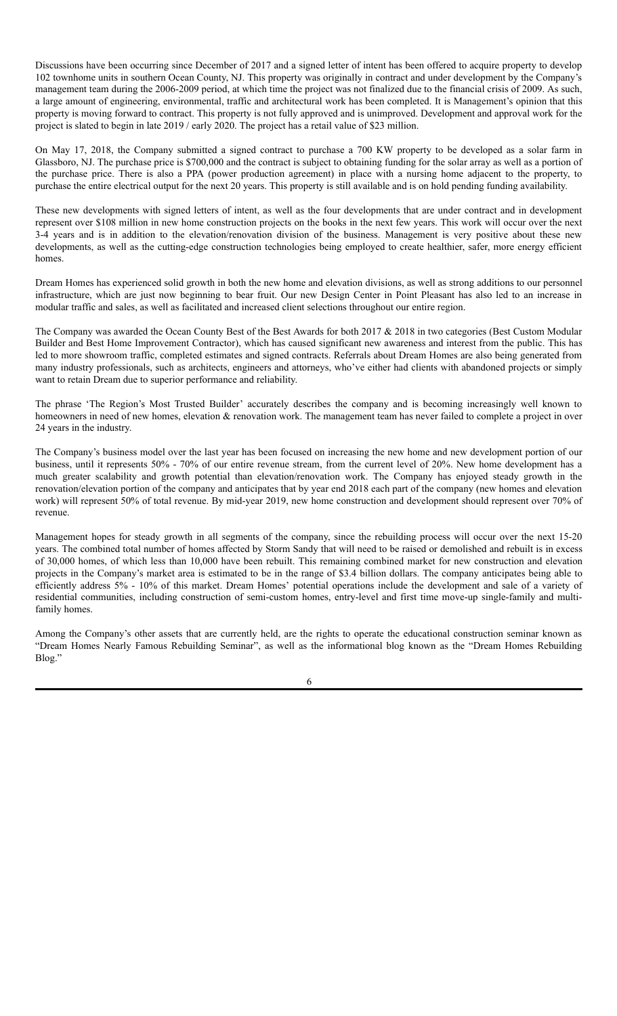Discussions have been occurring since December of 2017 and a signed letter of intent has been offered to acquire property to develop 102 townhome units in southern Ocean County, NJ. This property was originally in contract and under development by the Company's management team during the 2006-2009 period, at which time the project was not finalized due to the financial crisis of 2009. As such, a large amount of engineering, environmental, traffic and architectural work has been completed. It is Management's opinion that this property is moving forward to contract. This property is not fully approved and is unimproved. Development and approval work for the project is slated to begin in late 2019 / early 2020. The project has a retail value of \$23 million.

On May 17, 2018, the Company submitted a signed contract to purchase a 700 KW property to be developed as a solar farm in Glassboro, NJ. The purchase price is \$700,000 and the contract is subject to obtaining funding for the solar array as well as a portion of the purchase price. There is also a PPA (power production agreement) in place with a nursing home adjacent to the property, to purchase the entire electrical output for the next 20 years. This property is still available and is on hold pending funding availability.

These new developments with signed letters of intent, as well as the four developments that are under contract and in development represent over \$108 million in new home construction projects on the books in the next few years. This work will occur over the next 3-4 years and is in addition to the elevation/renovation division of the business. Management is very positive about these new developments, as well as the cutting-edge construction technologies being employed to create healthier, safer, more energy efficient homes.

Dream Homes has experienced solid growth in both the new home and elevation divisions, as well as strong additions to our personnel infrastructure, which are just now beginning to bear fruit. Our new Design Center in Point Pleasant has also led to an increase in modular traffic and sales, as well as facilitated and increased client selections throughout our entire region.

The Company was awarded the Ocean County Best of the Best Awards for both 2017 & 2018 in two categories (Best Custom Modular Builder and Best Home Improvement Contractor), which has caused significant new awareness and interest from the public. This has led to more showroom traffic, completed estimates and signed contracts. Referrals about Dream Homes are also being generated from many industry professionals, such as architects, engineers and attorneys, who've either had clients with abandoned projects or simply want to retain Dream due to superior performance and reliability.

The phrase 'The Region's Most Trusted Builder' accurately describes the company and is becoming increasingly well known to homeowners in need of new homes, elevation  $\&$  renovation work. The management team has never failed to complete a project in over 24 years in the industry.

The Company's business model over the last year has been focused on increasing the new home and new development portion of our business, until it represents 50% - 70% of our entire revenue stream, from the current level of 20%. New home development has a much greater scalability and growth potential than elevation/renovation work. The Company has enjoyed steady growth in the renovation/elevation portion of the company and anticipates that by year end 2018 each part of the company (new homes and elevation work) will represent 50% of total revenue. By mid-year 2019, new home construction and development should represent over 70% of revenue.

Management hopes for steady growth in all segments of the company, since the rebuilding process will occur over the next 15-20 years. The combined total number of homes affected by Storm Sandy that will need to be raised or demolished and rebuilt is in excess of 30,000 homes, of which less than 10,000 have been rebuilt. This remaining combined market for new construction and elevation projects in the Company's market area is estimated to be in the range of \$3.4 billion dollars. The company anticipates being able to efficiently address 5% - 10% of this market. Dream Homes' potential operations include the development and sale of a variety of residential communities, including construction of semi-custom homes, entry-level and first time move-up single-family and multifamily homes.

Among the Company's other assets that are currently held, are the rights to operate the educational construction seminar known as "Dream Homes Nearly Famous Rebuilding Seminar", as well as the informational blog known as the "Dream Homes Rebuilding Blog."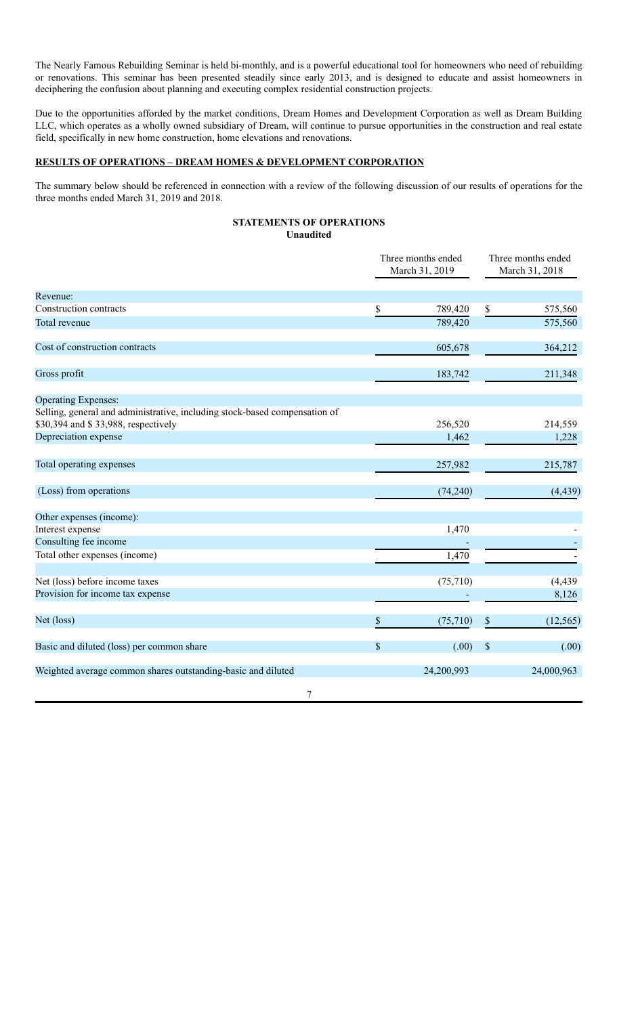The Nearly Famous Rebuilding Seminar is held bi-monthly, and is a powerful educational tool for homeowners who need of rebuilding or renovations. This seminar has been presented steadily since early 2013, and is designed to educate and assist homeowners in deciphering the confusion about planning and executing complex residential construction projects.

Due to the opportunities afforded by the market conditions, Dream Homes and Development Corporation as well as Dream Building LLC, which operates as a wholly owned subsidiary of Dream, will continue to pursue opportunities in the construction and real estate field, specifically in new home construction, home elevations and renovations.

## **RESULTS OF OPERATIONS – DREAM HOMES & DEVELOPMENT CORPORATION**

The summary below should be referenced in connection with a review of the following discussion of our results of operations for the three months ended March 31, 2019 and 2018.

#### **STATEMENTS OF OPERATIONS Unaudited**

|                                                                            | Three months ended<br>March 31, 2019 |            | Three months ended<br>March 31, 2018 |            |
|----------------------------------------------------------------------------|--------------------------------------|------------|--------------------------------------|------------|
| Revenue:                                                                   |                                      |            |                                      |            |
| Construction contracts                                                     | \$                                   | 789,420    | \$                                   | 575,560    |
| Total revenue                                                              |                                      | 789,420    |                                      | 575,560    |
| Cost of construction contracts                                             |                                      | 605,678    |                                      | 364,212    |
| Gross profit                                                               |                                      | 183,742    |                                      | 211,348    |
| <b>Operating Expenses:</b>                                                 |                                      |            |                                      |            |
| Selling, general and administrative, including stock-based compensation of |                                      |            |                                      |            |
| \$30,394 and \$33,988, respectively                                        |                                      | 256,520    |                                      | 214,559    |
| Depreciation expense                                                       |                                      | 1,462      |                                      | 1,228      |
| Total operating expenses                                                   |                                      | 257,982    |                                      | 215,787    |
| (Loss) from operations                                                     |                                      | (74,240)   |                                      | (4, 439)   |
| Other expenses (income):                                                   |                                      |            |                                      |            |
| Interest expense                                                           |                                      | 1,470      |                                      |            |
| Consulting fee income                                                      |                                      |            |                                      |            |
| Total other expenses (income)                                              |                                      | 1,470      |                                      |            |
| Net (loss) before income taxes                                             |                                      | (75, 710)  |                                      | (4, 439)   |
| Provision for income tax expense                                           |                                      |            |                                      | 8,126      |
| Net (loss)                                                                 | \$                                   | (75,710)   | \$                                   | (12, 565)  |
| Basic and diluted (loss) per common share                                  | \$                                   | (.00)      | $\$$                                 | (.00)      |
| Weighted average common shares outstanding-basic and diluted               |                                      | 24,200,993 |                                      | 24,000,963 |
| 7                                                                          |                                      |            |                                      |            |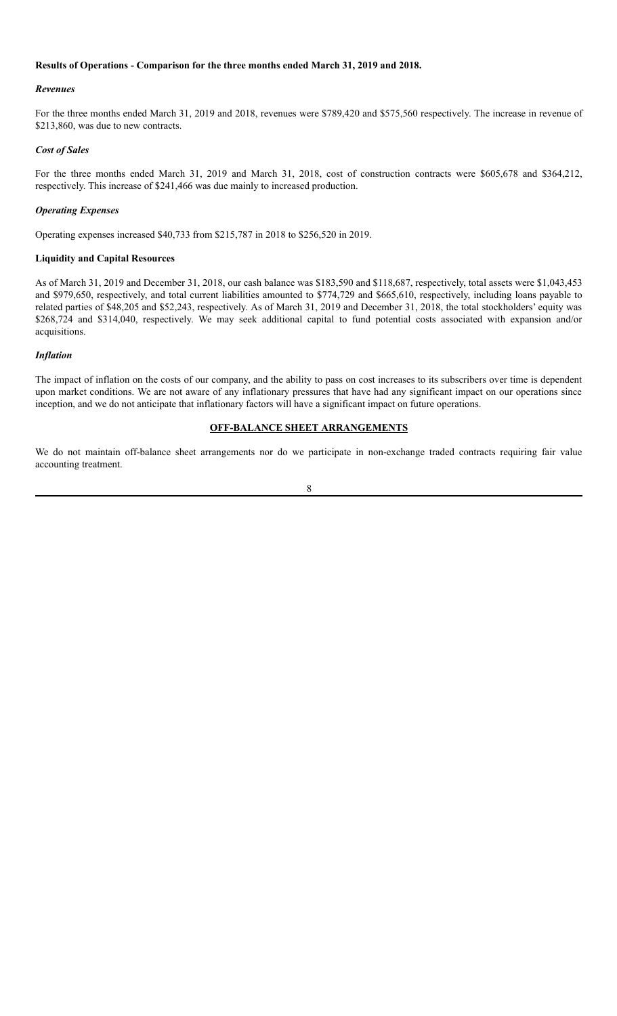#### **Results of Operations - Comparison for the three months ended March 31, 2019 and 2018.**

#### *Revenues*

For the three months ended March 31, 2019 and 2018, revenues were \$789,420 and \$575,560 respectively. The increase in revenue of \$213,860, was due to new contracts.

## *Cost of Sales*

For the three months ended March 31, 2019 and March 31, 2018, cost of construction contracts were \$605,678 and \$364,212, respectively. This increase of \$241,466 was due mainly to increased production.

#### *Operating Expenses*

Operating expenses increased \$40,733 from \$215,787 in 2018 to \$256,520 in 2019.

## **Liquidity and Capital Resources**

As of March 31, 2019 and December 31, 2018, our cash balance was \$183,590 and \$118,687, respectively, total assets were \$1,043,453 and \$979,650, respectively, and total current liabilities amounted to \$774,729 and \$665,610, respectively, including loans payable to related parties of \$48,205 and \$52,243, respectively. As of March 31, 2019 and December 31, 2018, the total stockholders' equity was \$268,724 and \$314,040, respectively. We may seek additional capital to fund potential costs associated with expansion and/or acquisitions.

## *Inflation*

The impact of inflation on the costs of our company, and the ability to pass on cost increases to its subscribers over time is dependent upon market conditions. We are not aware of any inflationary pressures that have had any significant impact on our operations since inception, and we do not anticipate that inflationary factors will have a significant impact on future operations.

## **OFF-BALANCE SHEET ARRANGEMENTS**

We do not maintain off-balance sheet arrangements nor do we participate in non-exchange traded contracts requiring fair value accounting treatment.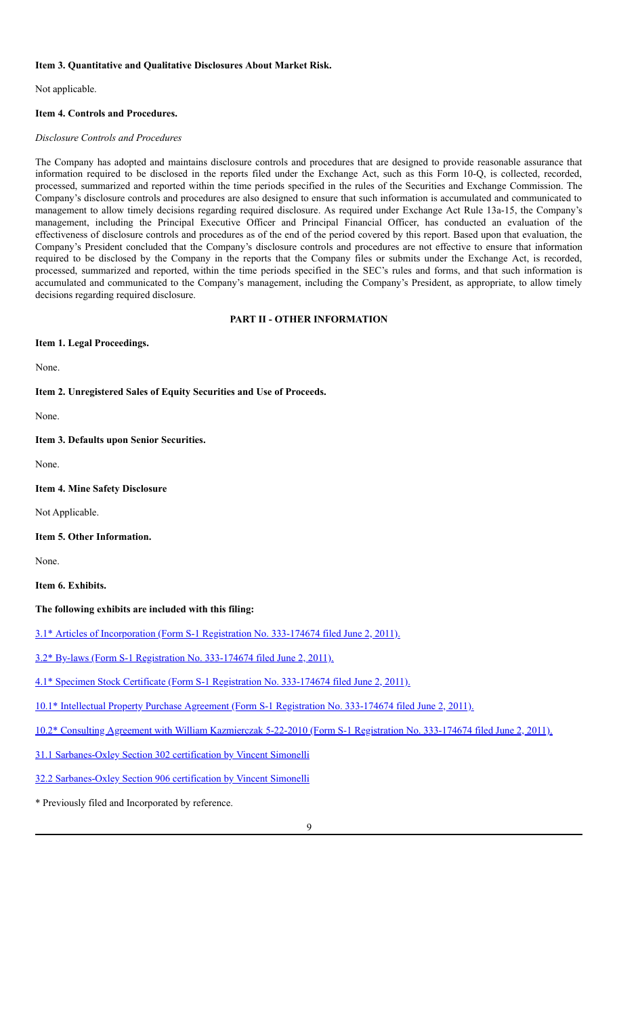## <span id="page-26-0"></span>**Item 3. Quantitative and Qualitative Disclosures About Market Risk.**

Not applicable.

## <span id="page-26-1"></span>**Item 4. Controls and Procedures.**

#### *Disclosure Controls and Procedures*

The Company has adopted and maintains disclosure controls and procedures that are designed to provide reasonable assurance that information required to be disclosed in the reports filed under the Exchange Act, such as this Form 10-Q, is collected, recorded, processed, summarized and reported within the time periods specified in the rules of the Securities and Exchange Commission. The Company's disclosure controls and procedures are also designed to ensure that such information is accumulated and communicated to management to allow timely decisions regarding required disclosure. As required under Exchange Act Rule 13a-15, the Company's management, including the Principal Executive Officer and Principal Financial Officer, has conducted an evaluation of the effectiveness of disclosure controls and procedures as of the end of the period covered by this report. Based upon that evaluation, the Company's President concluded that the Company's disclosure controls and procedures are not effective to ensure that information required to be disclosed by the Company in the reports that the Company files or submits under the Exchange Act, is recorded, processed, summarized and reported, within the time periods specified in the SEC's rules and forms, and that such information is accumulated and communicated to the Company's management, including the Company's President, as appropriate, to allow timely decisions regarding required disclosure.

#### **PART II - OTHER INFORMATION**

<span id="page-26-3"></span><span id="page-26-2"></span>**Item 1. Legal Proceedings.**

None.

<span id="page-26-4"></span>**Item 2. Unregistered Sales of Equity Securities and Use of Proceeds.**

None.

<span id="page-26-5"></span>**Item 3. Defaults upon Senior Securities.**

None.

<span id="page-26-6"></span>**Item 4. Mine Safety Disclosure**

Not Applicable.

<span id="page-26-7"></span>**Item 5. Other Information.**

None.

<span id="page-26-8"></span>**Item 6. Exhibits.**

## **The following exhibits are included with this filing:**

3.1\* Articles of [Incorporation](http://www.sec.gov/Archives/edgar/data/1518336/000151833611000003/exhibit_3articlesofincorpora.htm) (Form S-1 Registration No. 333-174674 filed June 2, 2011).

3.2\* By-laws (Form S-1 [Registration](http://www.sec.gov/Archives/edgar/data/1518336/000151833611000003/bylaws.htm) No. 333-174674 filed June 2, 2011).

4.1\* Specimen Stock Certificate (Form S-1 [Registration](http://www.sec.gov/Archives/edgar/data/1518336/000151833611000003/ex4samplestockcert.htm) No. 333-174674 filed June 2, 2011).

10.1\* Intellectual Property Purchase Agreement (Form S-1 [Registration](http://www.sec.gov/Archives/edgar/data/1518336/000151833611000003/agreementwithterrareip.htm) No. 333-174674 filed June 2, 2011).

10.2\* Consulting Agreement with William [Kazmierczak](http://www.sec.gov/Archives/edgar/data/1518336/000151833611000003/ex_101kazmierczackagreement0.htm) 5-22-2010 (Form S-1 Registration No. 333-174674 filed June 2, 2011).

31.1 [Sarbanes-Oxley](http://compliance-sec.com/secfilings/company/VRTR/link_files/2019/12-12-2019/Form10-QA(12-12-2019)DreamHomesandDevelopment/ex31-1.htm) Section 302 certification by Vincent Simonelli

32.2 [Sarbanes-Oxley](http://compliance-sec.com/secfilings/company/VRTR/link_files/2019/12-12-2019/Form10-QA(12-12-2019)DreamHomesandDevelopment/ex32-2.htm) Section 906 certification by Vincent Simonelli

\* Previously filed and Incorporated by reference.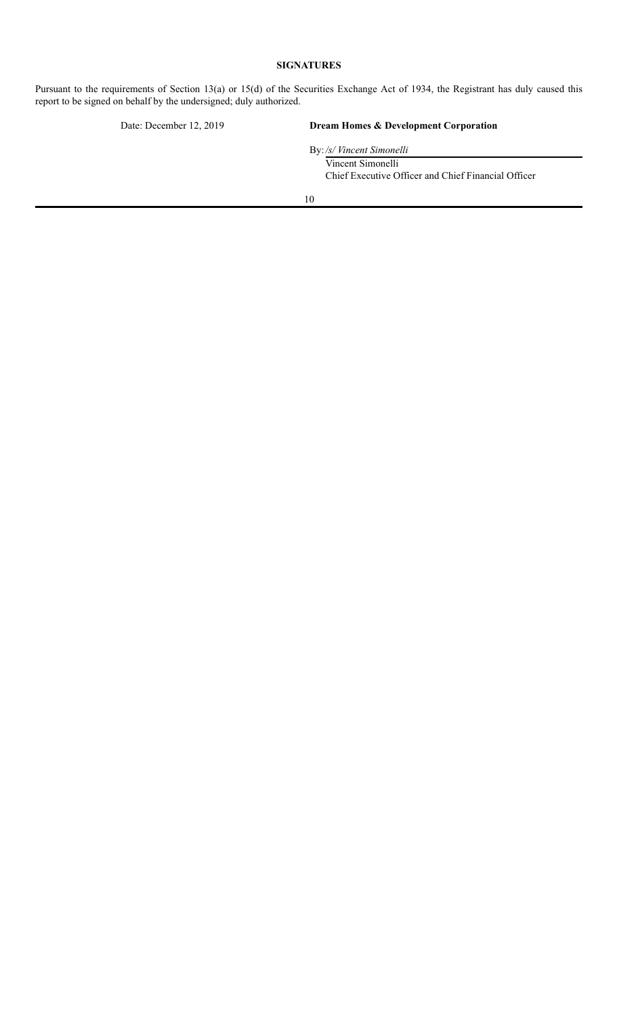## **SIGNATURES**

<span id="page-27-0"></span>Pursuant to the requirements of Section 13(a) or 15(d) of the Securities Exchange Act of 1934, the Registrant has duly caused this report to be signed on behalf by the undersigned; duly authorized.

## Date: December 12, 2019 **Dream Homes & Development Corporation**

By:*/s/ Vincent Simonelli* Vincent Simonelli Chief Executive Officer and Chief Financial Officer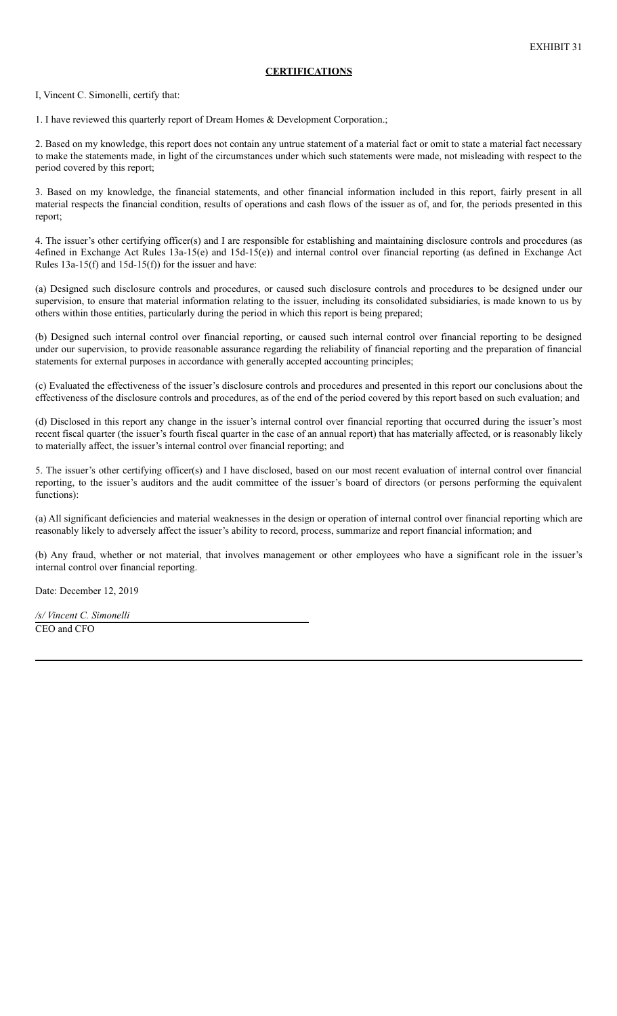## **CERTIFICATIONS**

I, Vincent C. Simonelli, certify that:

1. I have reviewed this quarterly report of Dream Homes & Development Corporation.;

2. Based on my knowledge, this report does not contain any untrue statement of a material fact or omit to state a material fact necessary to make the statements made, in light of the circumstances under which such statements were made, not misleading with respect to the period covered by this report;

3. Based on my knowledge, the financial statements, and other financial information included in this report, fairly present in all material respects the financial condition, results of operations and cash flows of the issuer as of, and for, the periods presented in this report;

4. The issuer's other certifying officer(s) and I are responsible for establishing and maintaining disclosure controls and procedures (as 4efined in Exchange Act Rules 13a-15(e) and 15d-15(e)) and internal control over financial reporting (as defined in Exchange Act Rules 13a-15(f) and 15d-15(f)) for the issuer and have:

(a) Designed such disclosure controls and procedures, or caused such disclosure controls and procedures to be designed under our supervision, to ensure that material information relating to the issuer, including its consolidated subsidiaries, is made known to us by others within those entities, particularly during the period in which this report is being prepared;

(b) Designed such internal control over financial reporting, or caused such internal control over financial reporting to be designed under our supervision, to provide reasonable assurance regarding the reliability of financial reporting and the preparation of financial statements for external purposes in accordance with generally accepted accounting principles;

(c) Evaluated the effectiveness of the issuer's disclosure controls and procedures and presented in this report our conclusions about the effectiveness of the disclosure controls and procedures, as of the end of the period covered by this report based on such evaluation; and

(d) Disclosed in this report any change in the issuer's internal control over financial reporting that occurred during the issuer's most recent fiscal quarter (the issuer's fourth fiscal quarter in the case of an annual report) that has materially affected, or is reasonably likely to materially affect, the issuer's internal control over financial reporting; and

5. The issuer's other certifying officer(s) and I have disclosed, based on our most recent evaluation of internal control over financial reporting, to the issuer's auditors and the audit committee of the issuer's board of directors (or persons performing the equivalent functions):

(a) All significant deficiencies and material weaknesses in the design or operation of internal control over financial reporting which are reasonably likely to adversely affect the issuer's ability to record, process, summarize and report financial information; and

(b) Any fraud, whether or not material, that involves management or other employees who have a significant role in the issuer's internal control over financial reporting.

Date: December 12, 2019

*/s/ Vincent C. Simonelli* CEO and CFO